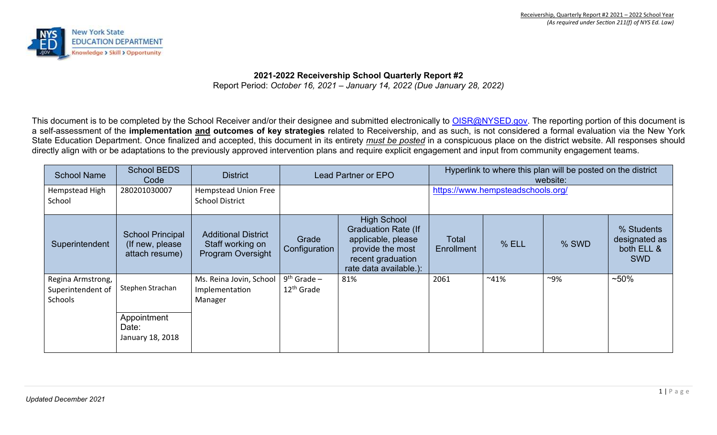

**2021-2022 Receivership School Quarterly Report #2** Report Period: *October 16, 2021 – January 14, 2022 (Due January 28, 2022)* 

This document is to be completed by the School Receiver and/or their designee and submitted electronically to OISR@NYSED.gov. The reporting portion of this document is a self-assessment of the **implementation and outcomes of key strategies** related to Receivership, and as such, is not considered a formal evaluation via the New York State Education Department. Once finalized and accepted, this document in its entirety *must be posted* in a conspicuous place on the district website. All responses should directly align with or be adaptations to the previously approved intervention plans and require explicit engagement and input from community engagement teams.

| <b>School Name</b>                                | <b>School BEDS</b><br>Code                                    | <b>District</b>                                                     | Lead Partner or EPO                     |                                                                                                                                           | Hyperlink to where this plan will be posted on the district<br>website: |         |        |                                                         |  |  |
|---------------------------------------------------|---------------------------------------------------------------|---------------------------------------------------------------------|-----------------------------------------|-------------------------------------------------------------------------------------------------------------------------------------------|-------------------------------------------------------------------------|---------|--------|---------------------------------------------------------|--|--|
| Hempstead High<br>School                          | 280201030007                                                  | Hempstead Union Free<br><b>School District</b>                      |                                         |                                                                                                                                           | https://www.hempsteadschools.org/                                       |         |        |                                                         |  |  |
| Superintendent                                    | <b>School Principal</b><br>(If new, please)<br>attach resume) | <b>Additional District</b><br>Staff working on<br>Program Oversight | Grade<br>Configuration                  | <b>High School</b><br><b>Graduation Rate (If</b><br>applicable, please<br>provide the most<br>recent graduation<br>rate data available.): | Total<br><b>Enrollment</b>                                              | % ELL   | % SWD  | % Students<br>designated as<br>both ELL &<br><b>SWD</b> |  |  |
| Regina Armstrong,<br>Superintendent of<br>Schools | Stephen Strachan<br>Appointment                               | Ms. Reina Jovin, School<br>Implementation<br>Manager                | $9th$ Grade –<br>12 <sup>th</sup> Grade | 81%                                                                                                                                       | 2061                                                                    | $~41\%$ | $~9\%$ | $~50\%$                                                 |  |  |
|                                                   | Date:<br>January 18, 2018                                     |                                                                     |                                         |                                                                                                                                           |                                                                         |         |        |                                                         |  |  |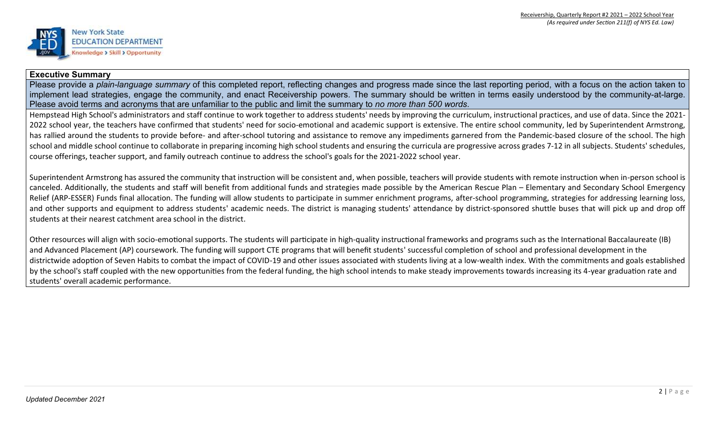

## **Executive Summary**

Please provide a *plain-language summary* of this completed report, reflecting changes and progress made since the last reporting period, with a focus on the action taken to implement lead strategies, engage the community, and enact Receivership powers. The summary should be written in terms easily understood by the community-at-large. Please avoid terms and acronyms that are unfamiliar to the public and limit the summary to *no more than 500 words*.

Hempstead High School's administrators and staff continue to work together to address students' needs by improving the curriculum, instructional practices, and use of data. Since the 2021- 2022 school year, the teachers have confirmed that students' need for socio-emotional and academic support is extensive. The entire school community, led by Superintendent Armstrong, has rallied around the students to provide before- and after-school tutoring and assistance to remove any impediments garnered from the Pandemic-based closure of the school. The high school and middle school continue to collaborate in preparing incoming high school students and ensuring the curricula are progressive across grades 7-12 in all subjects. Students' schedules, course offerings, teacher support, and family outreach continue to address the school's goals for the 2021-2022 school year.

Superintendent Armstrong has assured the community that instruction will be consistent and, when possible, teachers will provide students with remote instruction when in-person school is canceled. Additionally, the students and staff will benefit from additional funds and strategies made possible by the American Rescue Plan – Elementary and Secondary School Emergency Relief (ARP-ESSER) Funds final allocation. The funding will allow students to participate in summer enrichment programs, after-school programming, strategies for addressing learning loss, and other supports and equipment to address students' academic needs. The district is managing students' attendance by district-sponsored shuttle buses that will pick up and drop off students at their nearest catchment area school in the district.

Other resources will align with socio-emotional supports. The students will participate in high-quality instructional frameworks and programs such as the International Baccalaureate (IB) and Advanced Placement (AP) coursework. The funding will support CTE programs that will benefit students' successful completion of school and professional development in the districtwide adoption of Seven Habits to combat the impact of COVID-19 and other issues associated with students living at a low-wealth index. With the commitments and goals established by the school's staff coupled with the new opportunities from the federal funding, the high school intends to make steady improvements towards increasing its 4-year graduation rate and students' overall academic performance.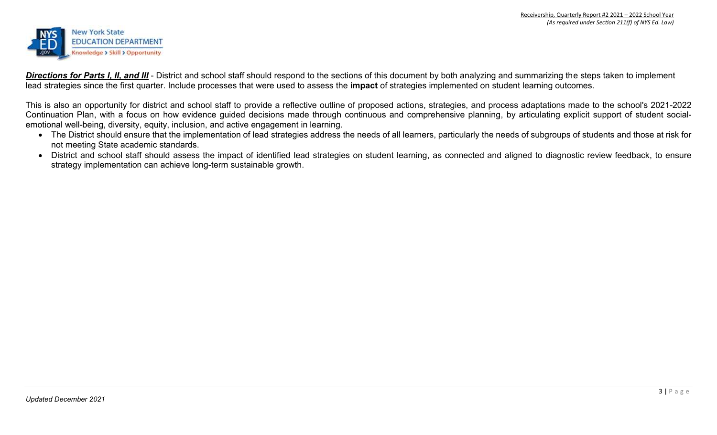

**Directions for Parts I, II, and III** - District and school staff should respond to the sections of this document by both analyzing and summarizing the steps taken to implement lead strategies since the first quarter. Include processes that were used to assess the **impact** of strategies implemented on student learning outcomes.

This is also an opportunity for district and school staff to provide a reflective outline of proposed actions, strategies, and process adaptations made to the school's 2021-2022 Continuation Plan, with a focus on how evidence guided decisions made through continuous and comprehensive planning, by articulating explicit support of student socialemotional well-being, diversity, equity, inclusion, and active engagement in learning.

- The District should ensure that the implementation of lead strategies address the needs of all learners, particularly the needs of subgroups of students and those at risk for not meeting State academic standards.
- District and school staff should assess the impact of identified lead strategies on student learning, as connected and aligned to diagnostic review feedback, to ensure strategy implementation can achieve long-term sustainable growth.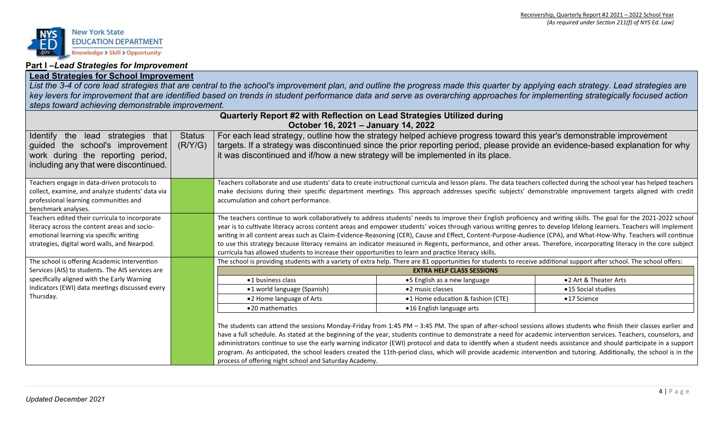

## **Part I –***Lead Strategies for Improvement*

# **Lead Strategies for School Improvement**

*List the 3-4 of core lead strategies that are central to the school's improvement plan, and outline the progress made this quarter by applying each strategy. Lead strategies are key levers for improvement that are identified based on trends in student performance data and serve as overarching approaches for implementing strategically focused action steps toward achieving demonstrable improvement.* 

|                                                                                                                                                                                                                |                          | Quarterly Report #2 with Reflection on Lead Strategies Utilized during<br>October 16, 2021 - January 14, 2022                                                                                                                                                                                                                                                                                                                                                                                                                                                                                                                                                                                                                                                                                  |                                                                                                                                                                                                                                                                                                                                 |                                                                                                                                                                                                                                                                                                                                                                                                                                                                                                                                                                                                                                                                                                                                                      |  |  |
|----------------------------------------------------------------------------------------------------------------------------------------------------------------------------------------------------------------|--------------------------|------------------------------------------------------------------------------------------------------------------------------------------------------------------------------------------------------------------------------------------------------------------------------------------------------------------------------------------------------------------------------------------------------------------------------------------------------------------------------------------------------------------------------------------------------------------------------------------------------------------------------------------------------------------------------------------------------------------------------------------------------------------------------------------------|---------------------------------------------------------------------------------------------------------------------------------------------------------------------------------------------------------------------------------------------------------------------------------------------------------------------------------|------------------------------------------------------------------------------------------------------------------------------------------------------------------------------------------------------------------------------------------------------------------------------------------------------------------------------------------------------------------------------------------------------------------------------------------------------------------------------------------------------------------------------------------------------------------------------------------------------------------------------------------------------------------------------------------------------------------------------------------------------|--|--|
| <b>Identify</b><br>the<br>lead strategies that<br>guided the school's improvement<br>work during the reporting period,<br>including any that were discontinued.                                                | <b>Status</b><br>(R/Y/G) | it was discontinued and if/how a new strategy will be implemented in its place.                                                                                                                                                                                                                                                                                                                                                                                                                                                                                                                                                                                                                                                                                                                | For each lead strategy, outline how the strategy helped achieve progress toward this year's demonstrable improvement                                                                                                                                                                                                            | targets. If a strategy was discontinued since the prior reporting period, please provide an evidence-based explanation for why                                                                                                                                                                                                                                                                                                                                                                                                                                                                                                                                                                                                                       |  |  |
| Teachers engage in data-driven protocols to<br>collect, examine, and analyze students' data via<br>professional learning communities and<br>benchmark analyses.                                                |                          | accumulation and cohort performance.                                                                                                                                                                                                                                                                                                                                                                                                                                                                                                                                                                                                                                                                                                                                                           |                                                                                                                                                                                                                                                                                                                                 | Teachers collaborate and use students' data to create instructional curricula and lesson plans. The data teachers collected during the school year has helped teachers<br>make decisions during their specific department meetings. This approach addresses specific subjects' demonstrable improvement targets aligned with credit                                                                                                                                                                                                                                                                                                                                                                                                                  |  |  |
| Teachers edited their curricula to incorporate<br>literacy across the content areas and socio-<br>emotional learning via specific writing<br>strategies, digital word walls, and Nearpod.                      |                          | The teachers continue to work collaboratively to address students' needs to improve their English proficiency and writing skills. The goal for the 2021-2022 school<br>year is to cultivate literacy across content areas and empower students' voices through various writing genres to develop lifelong learners. Teachers will implement<br>writing in all content areas such as Claim-Evidence-Reasoning (CER), Cause and Effect, Content-Purpose-Audience (CPA), and What-How-Why. Teachers will continue<br>to use this strategy because literacy remains an indicator measured in Regents, performance, and other areas. Therefore, incorporating literacy in the core subject<br>curricula has allowed students to increase their opportunities to learn and practice literacy skills. |                                                                                                                                                                                                                                                                                                                                 |                                                                                                                                                                                                                                                                                                                                                                                                                                                                                                                                                                                                                                                                                                                                                      |  |  |
| The school is offering Academic Intervention<br>Services (AIS) to students. The AIS services are<br>specifically aligned with the Early Warning<br>Indicators (EWI) data meetings discussed every<br>Thursday. |                          | ·1 business class<br>•1 world language (Spanish)<br>•2 Home language of Arts<br>•20 mathematics<br>process of offering night school and Saturday Academy.                                                                                                                                                                                                                                                                                                                                                                                                                                                                                                                                                                                                                                      | The school is providing students with a variety of extra help. There are 81 opportunities for students to receive additional support after school. The school offers:<br><b>EXTRA HELP CLASS SESSIONS</b><br>•5 English as a new language<br>•2 music classes<br>•1 Home education & fashion (CTE)<br>•16 English language arts | •2 Art & Theater Arts<br>•15 Social studies<br>•17 Science<br>The students can attend the sessions Monday-Friday from 1:45 PM - 3:45 PM. The span of after-school sessions allows students who finish their classes earlier and<br>have a full schedule. As stated at the beginning of the year, students continue to demonstrate a need for academic intervention services. Teachers, counselors, and<br>administrators continue to use the early warning indicator (EWI) protocol and data to identify when a student needs assistance and should participate in a support<br>program. As anticipated, the school leaders created the 11th-period class, which will provide academic intervention and tutoring. Additionally, the school is in the |  |  |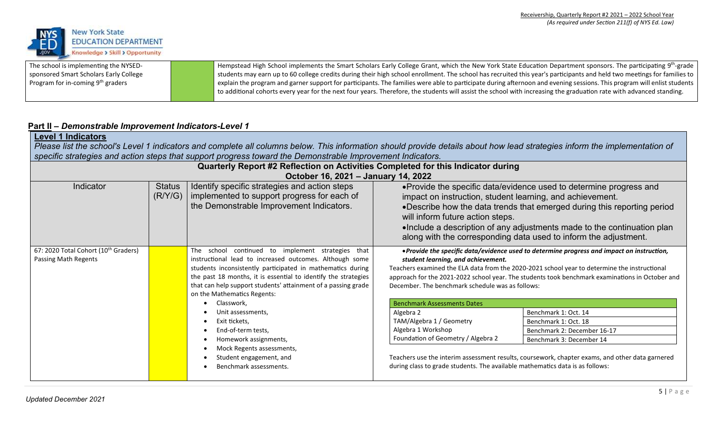

The school is implementing the NYSEDsponsored Smart Scholars Early College Program for in-coming 9th graders

Hempstead High School implements the Smart Scholars Early College Grant, which the New York State Education Department sponsors. The participating 9<sup>th</sup>-grade students may earn up to 60 college credits during their high school enrollment. The school has recruited this year's participants and held two meetings for families to explain the program and garner support for participants. The families were able to participate during afternoon and evening sessions. This program will enlist students to additional cohorts every year for the next four years. Therefore, the students will assist the school with increasing the graduation rate with advanced standing.

# **Part II –** *Demonstrable Improvement Indicators-Level 1*

# **Level 1 Indicators**

*Please list the school's Level 1 indicators and complete all columns below. This information should provide details about how lead strategies inform the implementation of specific strategies and action steps that support progress toward the Demonstrable Improvement Indicators.* 

| Quarterly Report #2 Reflection on Activities Completed for this Indicator during<br>October 16, 2021 - January 14, 2022 |                          |                                                                                                                                                                                                                                                                                                                                                       |                                                                                                                                                                                                                                                                                                                                                                                                |                                                                                                 |  |  |  |  |
|-------------------------------------------------------------------------------------------------------------------------|--------------------------|-------------------------------------------------------------------------------------------------------------------------------------------------------------------------------------------------------------------------------------------------------------------------------------------------------------------------------------------------------|------------------------------------------------------------------------------------------------------------------------------------------------------------------------------------------------------------------------------------------------------------------------------------------------------------------------------------------------------------------------------------------------|-------------------------------------------------------------------------------------------------|--|--|--|--|
| Indicator                                                                                                               | <b>Status</b><br>(R/Y/G) | Identify specific strategies and action steps<br>implemented to support progress for each of<br>the Demonstrable Improvement Indicators.                                                                                                                                                                                                              | • Provide the specific data/evidence used to determine progress and<br>impact on instruction, student learning, and achievement.<br>•Describe how the data trends that emerged during this reporting period<br>will inform future action steps.<br>•Include a description of any adjustments made to the continuation plan<br>along with the corresponding data used to inform the adjustment. |                                                                                                 |  |  |  |  |
| 67: 2020 Total Cohort (10 <sup>th</sup> Graders)<br>Passing Math Regents                                                |                          | The<br>school continued to<br>implement strategies<br>that<br>instructional lead to increased outcomes. Although some<br>students inconsistently participated in mathematics during<br>the past 18 months, it is essential to identify the strategies<br>that can help support students' attainment of a passing grade<br>on the Mathematics Regents: | . Provide the specific data/evidence used to determine progress and impact on instruction,<br>student learning, and achievement.<br>Teachers examined the ELA data from the 2020-2021 school year to determine the instructional<br>approach for the 2021-2022 school year. The students took benchmark examinations in October and<br>December. The benchmark schedule was as follows:        |                                                                                                 |  |  |  |  |
|                                                                                                                         |                          | Classwork,                                                                                                                                                                                                                                                                                                                                            | <b>Benchmark Assessments Dates</b>                                                                                                                                                                                                                                                                                                                                                             |                                                                                                 |  |  |  |  |
|                                                                                                                         |                          | Unit assessments,                                                                                                                                                                                                                                                                                                                                     | Algebra 2                                                                                                                                                                                                                                                                                                                                                                                      | Benchmark 1: Oct. 14                                                                            |  |  |  |  |
|                                                                                                                         |                          | Exit tickets,                                                                                                                                                                                                                                                                                                                                         | TAM/Algebra 1 / Geometry                                                                                                                                                                                                                                                                                                                                                                       | Benchmark 1: Oct. 18                                                                            |  |  |  |  |
|                                                                                                                         |                          | End-of-term tests,                                                                                                                                                                                                                                                                                                                                    | Algebra 1 Workshop                                                                                                                                                                                                                                                                                                                                                                             | Benchmark 2: December 16-17                                                                     |  |  |  |  |
|                                                                                                                         |                          | Homework assignments,                                                                                                                                                                                                                                                                                                                                 | Foundation of Geometry / Algebra 2                                                                                                                                                                                                                                                                                                                                                             | Benchmark 3: December 14                                                                        |  |  |  |  |
|                                                                                                                         |                          | Mock Regents assessments,<br>Student engagement, and<br>Benchmark assessments.                                                                                                                                                                                                                                                                        | during class to grade students. The available mathematics data is as follows:                                                                                                                                                                                                                                                                                                                  | Teachers use the interim assessment results, coursework, chapter exams, and other data garnered |  |  |  |  |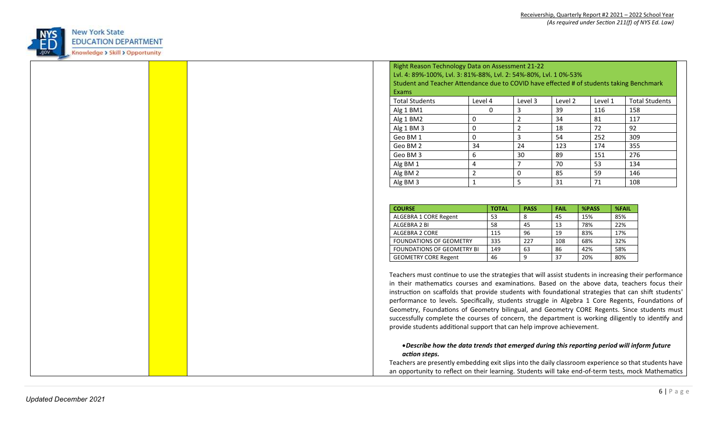

| Lvl. 4: 89%-100%, Lvl. 3: 81%-88%, Lvl. 2: 54%-80%, Lvl. 10%-53%<br>Student and Teacher Attendance due to COVID have effected # of students taking Benchmark<br>Exams<br><b>Total Students</b><br>Level 4<br>Level 2<br><b>Total Students</b><br>Level 3<br>Level 1<br>$\mathbf{0}$<br>116<br>39<br>158<br>Alg 1 BM1<br>3<br>34<br>81<br>117<br>Alg 1 BM2<br>0<br>2<br>72<br>92<br>$\overline{2}$<br>Alg 1 BM 3<br>0<br>18<br>$\overline{3}$<br>$\mathbf 0$<br>54<br>252<br>309<br>Geo BM 1<br>34<br>24<br>355<br>Geo BM 2<br>123<br>174 |
|------------------------------------------------------------------------------------------------------------------------------------------------------------------------------------------------------------------------------------------------------------------------------------------------------------------------------------------------------------------------------------------------------------------------------------------------------------------------------------------------------------------------------------------|
|                                                                                                                                                                                                                                                                                                                                                                                                                                                                                                                                          |
|                                                                                                                                                                                                                                                                                                                                                                                                                                                                                                                                          |
|                                                                                                                                                                                                                                                                                                                                                                                                                                                                                                                                          |
|                                                                                                                                                                                                                                                                                                                                                                                                                                                                                                                                          |
|                                                                                                                                                                                                                                                                                                                                                                                                                                                                                                                                          |
|                                                                                                                                                                                                                                                                                                                                                                                                                                                                                                                                          |
|                                                                                                                                                                                                                                                                                                                                                                                                                                                                                                                                          |
|                                                                                                                                                                                                                                                                                                                                                                                                                                                                                                                                          |
|                                                                                                                                                                                                                                                                                                                                                                                                                                                                                                                                          |
| 276<br>Geo BM 3<br>6<br>30<br>89<br>151                                                                                                                                                                                                                                                                                                                                                                                                                                                                                                  |
| 70<br>53<br>134<br>Alg BM 1<br>$\overline{4}$                                                                                                                                                                                                                                                                                                                                                                                                                                                                                            |
| $\overline{2}$<br>59<br>146<br>Alg BM 2<br>0<br>85                                                                                                                                                                                                                                                                                                                                                                                                                                                                                       |
| 5<br>1<br>31<br>71<br>108<br>Alg BM 3                                                                                                                                                                                                                                                                                                                                                                                                                                                                                                    |
| <b>COURSE</b><br><b>PASS</b><br><b>FAIL</b><br>%PASS<br><b>%FAIL</b><br><b>TOTAL</b><br>53<br>8<br>15%<br>85%<br>ALGEBRA 1 CORE Regent                                                                                                                                                                                                                                                                                                                                                                                                   |
| 45<br>45<br>13<br>22%<br>ALGEBRA 2 BI<br>58<br>78%                                                                                                                                                                                                                                                                                                                                                                                                                                                                                       |
| 17%<br>ALGEBRA 2 CORE<br>115<br>96<br>19<br>83%                                                                                                                                                                                                                                                                                                                                                                                                                                                                                          |
| 32%<br>335<br>227<br>68%<br>FOUNDATIONS OF GEOMETRY<br>108                                                                                                                                                                                                                                                                                                                                                                                                                                                                               |
| 58%<br>FOUNDATIONS OF GEOMETRY BI<br>149<br>63<br>86<br>42%                                                                                                                                                                                                                                                                                                                                                                                                                                                                              |
|                                                                                                                                                                                                                                                                                                                                                                                                                                                                                                                                          |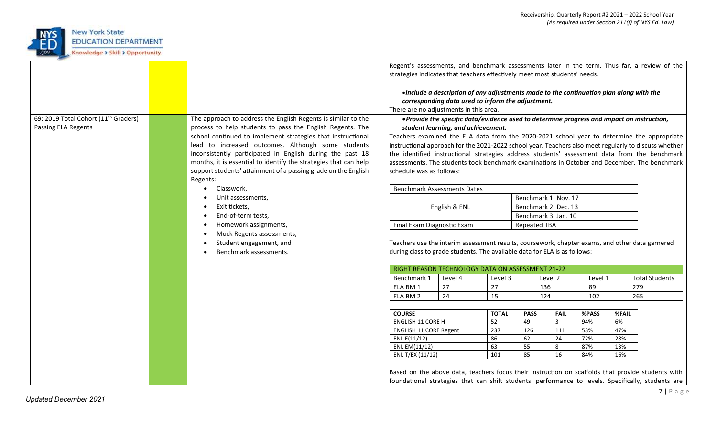

|                                                  |                                                                  | strategies indicates that teachers effectively meet most students' needs.                                                                                                                                                                                                                                                                                               |                                                                                                                                              |              |                                                                                                                                                                              |                      |         |       | Regent's assessments, and benchmark assessments later in the term. Thus far, a review of the                                                                                                            |  |  |
|--------------------------------------------------|------------------------------------------------------------------|-------------------------------------------------------------------------------------------------------------------------------------------------------------------------------------------------------------------------------------------------------------------------------------------------------------------------------------------------------------------------|----------------------------------------------------------------------------------------------------------------------------------------------|--------------|------------------------------------------------------------------------------------------------------------------------------------------------------------------------------|----------------------|---------|-------|---------------------------------------------------------------------------------------------------------------------------------------------------------------------------------------------------------|--|--|
|                                                  |                                                                  | There are no adjustments in this area.                                                                                                                                                                                                                                                                                                                                  | . Include a description of any adjustments made to the continuation plan along with the<br>corresponding data used to inform the adjustment. |              |                                                                                                                                                                              |                      |         |       |                                                                                                                                                                                                         |  |  |
| 69: 2019 Total Cohort (11 <sup>th</sup> Graders) | The approach to address the English Regents is similar to the    |                                                                                                                                                                                                                                                                                                                                                                         |                                                                                                                                              |              |                                                                                                                                                                              |                      |         |       |                                                                                                                                                                                                         |  |  |
| Passing ELA Regents                              | process to help students to pass the English Regents. The        |                                                                                                                                                                                                                                                                                                                                                                         | • Provide the specific data/evidence used to determine progress and impact on instruction,                                                   |              |                                                                                                                                                                              |                      |         |       |                                                                                                                                                                                                         |  |  |
|                                                  | school continued to implement strategies that instructional      |                                                                                                                                                                                                                                                                                                                                                                         | student learning, and achievement.                                                                                                           |              |                                                                                                                                                                              |                      |         |       |                                                                                                                                                                                                         |  |  |
|                                                  | lead to increased outcomes. Although some students               |                                                                                                                                                                                                                                                                                                                                                                         |                                                                                                                                              |              |                                                                                                                                                                              |                      |         |       | Teachers examined the ELA data from the 2020-2021 school year to determine the appropriate                                                                                                              |  |  |
|                                                  | inconsistently participated in English during the past 18        | instructional approach for the 2021-2022 school year. Teachers also meet regularly to discuss whether<br>the identified instructional strategies address students' assessment data from the benchmark<br>assessments. The students took benchmark examinations in October and December. The benchmark<br>schedule was as follows:<br><b>Benchmark Assessments Dates</b> |                                                                                                                                              |              |                                                                                                                                                                              |                      |         |       |                                                                                                                                                                                                         |  |  |
|                                                  | months, it is essential to identify the strategies that can help |                                                                                                                                                                                                                                                                                                                                                                         |                                                                                                                                              |              |                                                                                                                                                                              |                      |         |       |                                                                                                                                                                                                         |  |  |
|                                                  | support students' attainment of a passing grade on the English   |                                                                                                                                                                                                                                                                                                                                                                         |                                                                                                                                              |              |                                                                                                                                                                              |                      |         |       |                                                                                                                                                                                                         |  |  |
|                                                  | Regents:                                                         |                                                                                                                                                                                                                                                                                                                                                                         |                                                                                                                                              |              |                                                                                                                                                                              |                      |         |       |                                                                                                                                                                                                         |  |  |
|                                                  | Classwork,                                                       |                                                                                                                                                                                                                                                                                                                                                                         |                                                                                                                                              |              |                                                                                                                                                                              |                      |         |       |                                                                                                                                                                                                         |  |  |
|                                                  | Unit assessments,                                                |                                                                                                                                                                                                                                                                                                                                                                         |                                                                                                                                              |              |                                                                                                                                                                              | Benchmark 1: Nov. 17 |         |       |                                                                                                                                                                                                         |  |  |
|                                                  | Exit tickets,                                                    | English & ENL                                                                                                                                                                                                                                                                                                                                                           |                                                                                                                                              |              | Benchmark 2: Dec. 13                                                                                                                                                         |                      |         |       |                                                                                                                                                                                                         |  |  |
|                                                  | End-of-term tests,                                               |                                                                                                                                                                                                                                                                                                                                                                         |                                                                                                                                              |              | Benchmark 3: Jan. 10                                                                                                                                                         |                      |         |       |                                                                                                                                                                                                         |  |  |
|                                                  | Homework assignments,                                            | Final Exam Diagnostic Exam                                                                                                                                                                                                                                                                                                                                              |                                                                                                                                              |              |                                                                                                                                                                              | <b>Repeated TBA</b>  |         |       |                                                                                                                                                                                                         |  |  |
|                                                  | Mock Regents assessments,                                        |                                                                                                                                                                                                                                                                                                                                                                         |                                                                                                                                              |              |                                                                                                                                                                              |                      |         |       |                                                                                                                                                                                                         |  |  |
|                                                  | Student engagement, and                                          |                                                                                                                                                                                                                                                                                                                                                                         |                                                                                                                                              |              |                                                                                                                                                                              |                      |         |       |                                                                                                                                                                                                         |  |  |
|                                                  | Benchmark assessments.                                           |                                                                                                                                                                                                                                                                                                                                                                         |                                                                                                                                              |              | Teachers use the interim assessment results, coursework, chapter exams, and other data garnered<br>during class to grade students. The available data for ELA is as follows: |                      |         |       |                                                                                                                                                                                                         |  |  |
|                                                  |                                                                  |                                                                                                                                                                                                                                                                                                                                                                         | RIGHT REASON TECHNOLOGY DATA ON ASSESSMENT 21-22                                                                                             |              |                                                                                                                                                                              |                      |         |       |                                                                                                                                                                                                         |  |  |
|                                                  |                                                                  | Benchmark 1                                                                                                                                                                                                                                                                                                                                                             | Level 4                                                                                                                                      | Level 3      |                                                                                                                                                                              | Level 2              | Level 1 |       | <b>Total Students</b>                                                                                                                                                                                   |  |  |
|                                                  |                                                                  | ELA BM 1                                                                                                                                                                                                                                                                                                                                                                | 27                                                                                                                                           | 27           | 136                                                                                                                                                                          |                      | 89      |       | 279                                                                                                                                                                                                     |  |  |
|                                                  |                                                                  | ELA BM 2                                                                                                                                                                                                                                                                                                                                                                | 24                                                                                                                                           | 15           | 124                                                                                                                                                                          |                      | 102     |       | 265                                                                                                                                                                                                     |  |  |
|                                                  |                                                                  |                                                                                                                                                                                                                                                                                                                                                                         |                                                                                                                                              |              |                                                                                                                                                                              |                      |         |       |                                                                                                                                                                                                         |  |  |
|                                                  |                                                                  | <b>COURSE</b>                                                                                                                                                                                                                                                                                                                                                           |                                                                                                                                              | <b>TOTAL</b> | <b>PASS</b>                                                                                                                                                                  | <b>FAIL</b>          | %PASS   | %FAIL |                                                                                                                                                                                                         |  |  |
|                                                  |                                                                  | <b>ENGLISH 11 CORE H</b>                                                                                                                                                                                                                                                                                                                                                |                                                                                                                                              | 52           | 49                                                                                                                                                                           | $\overline{3}$       | 94%     | 6%    |                                                                                                                                                                                                         |  |  |
|                                                  |                                                                  | <b>ENGLISH 11 CORE Regent</b>                                                                                                                                                                                                                                                                                                                                           |                                                                                                                                              | 237          | 126                                                                                                                                                                          | 111                  | 53%     | 47%   |                                                                                                                                                                                                         |  |  |
|                                                  |                                                                  | ENL E(11/12)                                                                                                                                                                                                                                                                                                                                                            |                                                                                                                                              | 86           | 62                                                                                                                                                                           | 24                   | 72%     | 28%   |                                                                                                                                                                                                         |  |  |
|                                                  |                                                                  | ENL EM(11/12)                                                                                                                                                                                                                                                                                                                                                           |                                                                                                                                              | 63           | $\overline{55}$                                                                                                                                                              | $\infty$             | 87%     | 13%   |                                                                                                                                                                                                         |  |  |
|                                                  |                                                                  | ENL T/EX (11/12)                                                                                                                                                                                                                                                                                                                                                        |                                                                                                                                              | 101          | 85                                                                                                                                                                           | 16                   | 84%     | 16%   |                                                                                                                                                                                                         |  |  |
|                                                  |                                                                  |                                                                                                                                                                                                                                                                                                                                                                         |                                                                                                                                              |              |                                                                                                                                                                              |                      |         |       | Based on the above data, teachers focus their instruction on scaffolds that provide students with<br>foundational strategies that can shift students' performance to levels. Specifically, students are |  |  |
|                                                  |                                                                  |                                                                                                                                                                                                                                                                                                                                                                         |                                                                                                                                              |              |                                                                                                                                                                              |                      |         |       |                                                                                                                                                                                                         |  |  |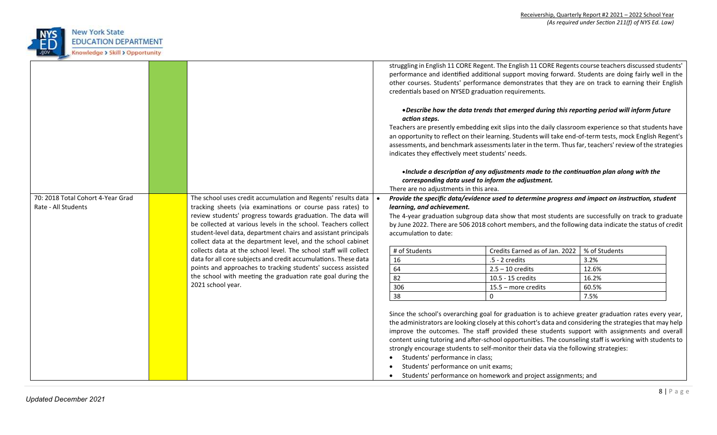

|                                                          |                                                                                                                                                                                                                                                                                                                                                                                                | struggling in English 11 CORE Regent. The English 11 CORE Regents course teachers discussed students'<br>performance and identified additional support moving forward. Students are doing fairly well in the<br>other courses. Students' performance demonstrates that they are on track to earning their English<br>credentials based on NYSED graduation requirements.                                                                                                                                                                                                                   |                                                                         |                                                                                                                                                                                                                                                                                                                                                                                                                                                                                                                                                                                         |                                         |  |  |  |
|----------------------------------------------------------|------------------------------------------------------------------------------------------------------------------------------------------------------------------------------------------------------------------------------------------------------------------------------------------------------------------------------------------------------------------------------------------------|--------------------------------------------------------------------------------------------------------------------------------------------------------------------------------------------------------------------------------------------------------------------------------------------------------------------------------------------------------------------------------------------------------------------------------------------------------------------------------------------------------------------------------------------------------------------------------------------|-------------------------------------------------------------------------|-----------------------------------------------------------------------------------------------------------------------------------------------------------------------------------------------------------------------------------------------------------------------------------------------------------------------------------------------------------------------------------------------------------------------------------------------------------------------------------------------------------------------------------------------------------------------------------------|-----------------------------------------|--|--|--|
|                                                          |                                                                                                                                                                                                                                                                                                                                                                                                | . Describe how the data trends that emerged during this reporting period will inform future<br>action steps.<br>Teachers are presently embedding exit slips into the daily classroom experience so that students have<br>an opportunity to reflect on their learning. Students will take end-of-term tests, mock English Regent's<br>assessments, and benchmark assessments later in the term. Thus far, teachers' review of the strategies<br>indicates they effectively meet students' needs.<br>. Include a description of any adjustments made to the continuation plan along with the |                                                                         |                                                                                                                                                                                                                                                                                                                                                                                                                                                                                                                                                                                         |                                         |  |  |  |
|                                                          |                                                                                                                                                                                                                                                                                                                                                                                                |                                                                                                                                                                                                                                                                                                                                                                                                                                                                                                                                                                                            | There are no adjustments in this area.                                  | corresponding data used to inform the adjustment.                                                                                                                                                                                                                                                                                                                                                                                                                                                                                                                                       |                                         |  |  |  |
| 70: 2018 Total Cohort 4-Year Grad<br>Rate - All Students | The school uses credit accumulation and Regents' results data<br>tracking sheets (via examinations or course pass rates) to<br>review students' progress towards graduation. The data will<br>be collected at various levels in the school. Teachers collect<br>student-level data, department chairs and assistant principals<br>collect data at the department level, and the school cabinet | Provide the specific data/evidence used to determine progress and impact on instruction, student<br>learning, and achievement.<br>The 4-year graduation subgroup data show that most students are successfully on track to graduate<br>by June 2022. There are 506 2018 cohort members, and the following data indicate the status of credit<br>accumulation to date:                                                                                                                                                                                                                      |                                                                         |                                                                                                                                                                                                                                                                                                                                                                                                                                                                                                                                                                                         |                                         |  |  |  |
|                                                          | collects data at the school level. The school staff will collect<br>data for all core subjects and credit accumulations. These data<br>points and approaches to tracking students' success assisted<br>the school with meeting the graduation rate goal during the                                                                                                                             |                                                                                                                                                                                                                                                                                                                                                                                                                                                                                                                                                                                            | # of Students<br>16<br>64<br>82                                         | Credits Earned as of Jan. 2022<br>$.5 - 2$ credits<br>$2.5 - 10$ credits<br>10.5 - 15 credits                                                                                                                                                                                                                                                                                                                                                                                                                                                                                           | % of Students<br>3.2%<br>12.6%<br>16.2% |  |  |  |
|                                                          | 2021 school year.                                                                                                                                                                                                                                                                                                                                                                              |                                                                                                                                                                                                                                                                                                                                                                                                                                                                                                                                                                                            | 306<br>38                                                               | 15.5 - more credits<br>$\mathbf{0}$                                                                                                                                                                                                                                                                                                                                                                                                                                                                                                                                                     | 60.5%<br>7.5%                           |  |  |  |
|                                                          |                                                                                                                                                                                                                                                                                                                                                                                                |                                                                                                                                                                                                                                                                                                                                                                                                                                                                                                                                                                                            | Students' performance in class;<br>Students' performance on unit exams; | Since the school's overarching goal for graduation is to achieve greater graduation rates every year,<br>the administrators are looking closely at this cohort's data and considering the strategies that may help<br>improve the outcomes. The staff provided these students support with assignments and overall<br>content using tutoring and after-school opportunities. The counseling staff is working with students to<br>strongly encourage students to self-monitor their data via the following strategies:<br>Students' performance on homework and project assignments; and |                                         |  |  |  |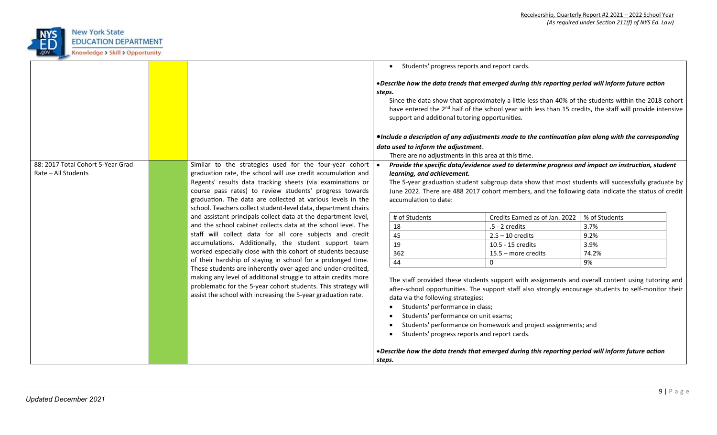

|                                                          |                                                                                                                                                                                                                                                                                                                                                                                   |                                                                                                                                                                                                                                                                                                                                                                                                                                                                                                                                                                 | Students' progress reports and report cards.<br>$\bullet$ |                                                                                                                                                                                                        |                                                                                                   |  |  |
|----------------------------------------------------------|-----------------------------------------------------------------------------------------------------------------------------------------------------------------------------------------------------------------------------------------------------------------------------------------------------------------------------------------------------------------------------------|-----------------------------------------------------------------------------------------------------------------------------------------------------------------------------------------------------------------------------------------------------------------------------------------------------------------------------------------------------------------------------------------------------------------------------------------------------------------------------------------------------------------------------------------------------------------|-----------------------------------------------------------|--------------------------------------------------------------------------------------------------------------------------------------------------------------------------------------------------------|---------------------------------------------------------------------------------------------------|--|--|
|                                                          |                                                                                                                                                                                                                                                                                                                                                                                   | • Describe how the data trends that emerged during this reporting period will inform future action<br>steps.<br>Since the data show that approximately a little less than 40% of the students within the 2018 cohort<br>have entered the 2 <sup>nd</sup> half of the school year with less than 15 credits, the staff will provide intensive<br>support and additional tutoring opportunities.<br>•Include a description of any adjustments made to the continuation plan along with the corresponding                                                          |                                                           |                                                                                                                                                                                                        |                                                                                                   |  |  |
|                                                          |                                                                                                                                                                                                                                                                                                                                                                                   | data used to inform the adjustment.                                                                                                                                                                                                                                                                                                                                                                                                                                                                                                                             |                                                           |                                                                                                                                                                                                        |                                                                                                   |  |  |
|                                                          |                                                                                                                                                                                                                                                                                                                                                                                   |                                                                                                                                                                                                                                                                                                                                                                                                                                                                                                                                                                 | There are no adjustments in this area at this time.       |                                                                                                                                                                                                        |                                                                                                   |  |  |
| 88: 2017 Total Cohort 5-Year Grad<br>Rate - All Students | Similar to the strategies used for the four-year cohort<br>graduation rate, the school will use credit accumulation and<br>Regents' results data tracking sheets (via examinations or<br>course pass rates) to review students' progress towards<br>graduation. The data are collected at various levels in the<br>school. Teachers collect student-level data, department chairs |                                                                                                                                                                                                                                                                                                                                                                                                                                                                                                                                                                 | learning, and achievement.<br>accumulation to date:       | Provide the specific data/evidence used to determine progress and impact on instruction, student<br>June 2022. There are 488 2017 cohort members, and the following data indicate the status of credit | The 5-year graduation student subgroup data show that most students will successfully graduate by |  |  |
|                                                          | and assistant principals collect data at the department level,                                                                                                                                                                                                                                                                                                                    |                                                                                                                                                                                                                                                                                                                                                                                                                                                                                                                                                                 | # of Students                                             | Credits Earned as of Jan. 2022                                                                                                                                                                         | % of Students                                                                                     |  |  |
|                                                          | and the school cabinet collects data at the school level. The                                                                                                                                                                                                                                                                                                                     |                                                                                                                                                                                                                                                                                                                                                                                                                                                                                                                                                                 | 18                                                        | $.5 - 2$ credits                                                                                                                                                                                       | 3.7%                                                                                              |  |  |
|                                                          | staff will collect data for all core subjects and credit                                                                                                                                                                                                                                                                                                                          |                                                                                                                                                                                                                                                                                                                                                                                                                                                                                                                                                                 | 45                                                        | $2.5 - 10$ credits                                                                                                                                                                                     | 9.2%                                                                                              |  |  |
|                                                          | accumulations. Additionally, the student support team                                                                                                                                                                                                                                                                                                                             |                                                                                                                                                                                                                                                                                                                                                                                                                                                                                                                                                                 | 19                                                        | 10.5 - 15 credits                                                                                                                                                                                      | 3.9%                                                                                              |  |  |
|                                                          | worked especially close with this cohort of students because                                                                                                                                                                                                                                                                                                                      |                                                                                                                                                                                                                                                                                                                                                                                                                                                                                                                                                                 | 362                                                       | 15.5 - more credits                                                                                                                                                                                    | 74.2%                                                                                             |  |  |
|                                                          | of their hardship of staying in school for a prolonged time.                                                                                                                                                                                                                                                                                                                      |                                                                                                                                                                                                                                                                                                                                                                                                                                                                                                                                                                 | 44                                                        | 0                                                                                                                                                                                                      | 9%                                                                                                |  |  |
|                                                          | These students are inherently over-aged and under-credited,<br>making any level of additional struggle to attain credits more<br>problematic for the 5-year cohort students. This strategy will<br>assist the school with increasing the 5-year graduation rate.                                                                                                                  | The staff provided these students support with assignments and overall content using tutoring and<br>after-school opportunities. The support staff also strongly encourage students to self-monitor their<br>data via the following strategies:<br>Students' performance in class;<br>$\bullet$<br>Students' performance on unit exams;<br>Students' performance on homework and project assignments; and<br>Students' progress reports and report cards.<br>. Describe how the data trends that emerged during this reporting period will inform future action |                                                           |                                                                                                                                                                                                        |                                                                                                   |  |  |
|                                                          |                                                                                                                                                                                                                                                                                                                                                                                   | steps.                                                                                                                                                                                                                                                                                                                                                                                                                                                                                                                                                          |                                                           |                                                                                                                                                                                                        |                                                                                                   |  |  |
|                                                          |                                                                                                                                                                                                                                                                                                                                                                                   |                                                                                                                                                                                                                                                                                                                                                                                                                                                                                                                                                                 |                                                           |                                                                                                                                                                                                        |                                                                                                   |  |  |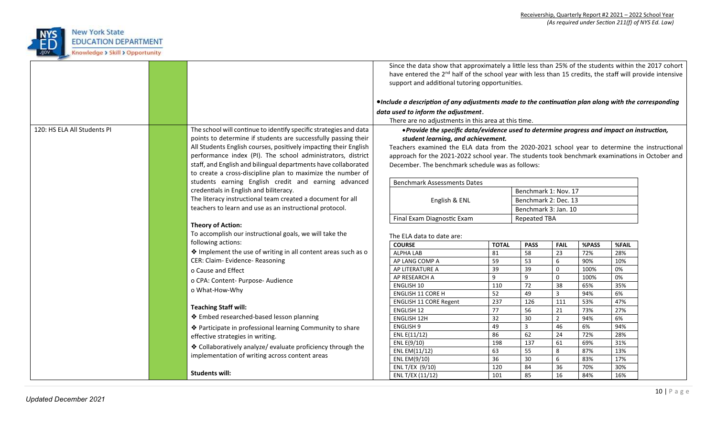

|                             |                                                                                                                                     | Since the data show that approximately a little less than 25% of the students within the 2017 cohort<br>have entered the 2 <sup>nd</sup> half of the school year with less than 15 credits, the staff will provide intensive<br>support and additional tutoring opportunities. |                                                                                                                                  |              |                      |                         |            |            |  |  |
|-----------------------------|-------------------------------------------------------------------------------------------------------------------------------------|--------------------------------------------------------------------------------------------------------------------------------------------------------------------------------------------------------------------------------------------------------------------------------|----------------------------------------------------------------------------------------------------------------------------------|--------------|----------------------|-------------------------|------------|------------|--|--|
|                             |                                                                                                                                     |                                                                                                                                                                                                                                                                                | •Include a description of any adjustments made to the continuation plan along with the corresponding                             |              |                      |                         |            |            |  |  |
|                             |                                                                                                                                     |                                                                                                                                                                                                                                                                                |                                                                                                                                  |              |                      |                         |            |            |  |  |
|                             |                                                                                                                                     |                                                                                                                                                                                                                                                                                | data used to inform the adjustment.                                                                                              |              |                      |                         |            |            |  |  |
|                             |                                                                                                                                     |                                                                                                                                                                                                                                                                                | There are no adjustments in this area at this time.                                                                              |              |                      |                         |            |            |  |  |
| 120: HS ELA All Students PI | The school will continue to identify specific strategies and data<br>points to determine if students are successfully passing their |                                                                                                                                                                                                                                                                                | • Provide the specific data/evidence used to determine progress and impact on instruction,<br>student learning, and achievement. |              |                      |                         |            |            |  |  |
|                             | All Students English courses, positively impacting their English                                                                    |                                                                                                                                                                                                                                                                                | Teachers examined the ELA data from the 2020-2021 school year to determine the instructional                                     |              |                      |                         |            |            |  |  |
|                             | performance index (PI). The school administrators, district                                                                         | approach for the 2021-2022 school year. The students took benchmark examinations in October and                                                                                                                                                                                |                                                                                                                                  |              |                      |                         |            |            |  |  |
|                             | staff, and English and bilingual departments have collaborated                                                                      | December. The benchmark schedule was as follows:                                                                                                                                                                                                                               |                                                                                                                                  |              |                      |                         |            |            |  |  |
|                             | to create a cross-discipline plan to maximize the number of                                                                         |                                                                                                                                                                                                                                                                                |                                                                                                                                  |              |                      |                         |            |            |  |  |
|                             | students earning English credit and earning advanced                                                                                |                                                                                                                                                                                                                                                                                | <b>Benchmark Assessments Dates</b>                                                                                               |              |                      |                         |            |            |  |  |
|                             | credentials in English and biliteracy.                                                                                              |                                                                                                                                                                                                                                                                                |                                                                                                                                  |              | Benchmark 1: Nov. 17 |                         |            |            |  |  |
|                             | The literacy instructional team created a document for all                                                                          |                                                                                                                                                                                                                                                                                | English & ENL                                                                                                                    |              | Benchmark 2: Dec. 13 |                         |            |            |  |  |
|                             | teachers to learn and use as an instructional protocol.                                                                             |                                                                                                                                                                                                                                                                                |                                                                                                                                  |              | Benchmark 3: Jan. 10 |                         |            |            |  |  |
|                             |                                                                                                                                     |                                                                                                                                                                                                                                                                                | Final Exam Diagnostic Exam                                                                                                       |              | <b>Repeated TBA</b>  |                         |            |            |  |  |
|                             | <b>Theory of Action:</b>                                                                                                            |                                                                                                                                                                                                                                                                                |                                                                                                                                  |              |                      |                         |            |            |  |  |
|                             | To accomplish our instructional goals, we will take the                                                                             |                                                                                                                                                                                                                                                                                | The ELA data to date are:                                                                                                        |              |                      |                         |            |            |  |  |
|                             | following actions:                                                                                                                  |                                                                                                                                                                                                                                                                                | <b>COURSE</b>                                                                                                                    | <b>TOTAL</b> | <b>PASS</b>          | <b>FAIL</b>             | %PASS      | %FAIL      |  |  |
|                             | ♦ Implement the use of writing in all content areas such as o                                                                       |                                                                                                                                                                                                                                                                                | ALPHA LAB                                                                                                                        | 81           | 58                   | 23                      | 72%        | 28%        |  |  |
|                             | CER: Claim- Evidence- Reasoning                                                                                                     |                                                                                                                                                                                                                                                                                | AP LANG COMP A                                                                                                                   | 59           | 53                   | 6                       | 90%        | 10%        |  |  |
|                             | o Cause and Effect                                                                                                                  |                                                                                                                                                                                                                                                                                | AP LITERATURE A                                                                                                                  | 39           | 39                   | 0                       | 100%       | 0%         |  |  |
|                             | o CPA: Content- Purpose- Audience                                                                                                   |                                                                                                                                                                                                                                                                                | AP RESEARCH A                                                                                                                    | 9            | 9                    | $\mathbf 0$             | 100%       | 0%         |  |  |
|                             |                                                                                                                                     |                                                                                                                                                                                                                                                                                | <b>ENGLISH 10</b>                                                                                                                | 110          | 72                   | 38                      | 65%        | 35%        |  |  |
|                             | o What-How-Why                                                                                                                      |                                                                                                                                                                                                                                                                                | ENGLISH 11 CORE H                                                                                                                | 52           | 49                   | $\overline{\mathbf{3}}$ | 94%        | 6%         |  |  |
|                             |                                                                                                                                     |                                                                                                                                                                                                                                                                                | <b>ENGLISH 11 CORE Regent</b>                                                                                                    | 237          | 126                  | 111                     | 53%        | 47%        |  |  |
|                             | <b>Teaching Staff will:</b>                                                                                                         |                                                                                                                                                                                                                                                                                | ENGLISH 12                                                                                                                       | 77           | 56                   | 21                      | 73%        | 27%        |  |  |
|                             | ❖ Embed researched-based lesson planning                                                                                            |                                                                                                                                                                                                                                                                                | <b>ENGLISH 12H</b>                                                                                                               | 32           | 30                   | $\overline{2}$          | 94%        | 6%         |  |  |
|                             | ◆ Participate in professional learning Community to share                                                                           |                                                                                                                                                                                                                                                                                | <b>ENGLISH 9</b>                                                                                                                 | 49           | $\overline{3}$       | 46                      | 6%         | 94%        |  |  |
|                             | effective strategies in writing.                                                                                                    |                                                                                                                                                                                                                                                                                | ENL E(11/12)                                                                                                                     | 86           | 62                   | 24                      | 72%        | 28%        |  |  |
|                             | ♦ Collaboratively analyze/ evaluate proficiency through the                                                                         |                                                                                                                                                                                                                                                                                | ENL E(9/10)                                                                                                                      | 198          | 137                  | 61                      | 69%        | 31%        |  |  |
|                             | implementation of writing across content areas                                                                                      |                                                                                                                                                                                                                                                                                | ENL EM(11/12)                                                                                                                    | 63           | 55                   | 8                       | 87%        | 13%        |  |  |
|                             |                                                                                                                                     |                                                                                                                                                                                                                                                                                | ENL EM(9/10)<br>ENL T/EX (9/10)                                                                                                  | 36<br>120    | 30<br>84             | 6<br>36                 | 83%<br>70% | 17%<br>30% |  |  |
|                             | <b>Students will:</b>                                                                                                               |                                                                                                                                                                                                                                                                                | ENL T/EX (11/12)                                                                                                                 | 101          | 85                   | 16                      | 84%        | 16%        |  |  |
|                             |                                                                                                                                     |                                                                                                                                                                                                                                                                                |                                                                                                                                  |              |                      |                         |            |            |  |  |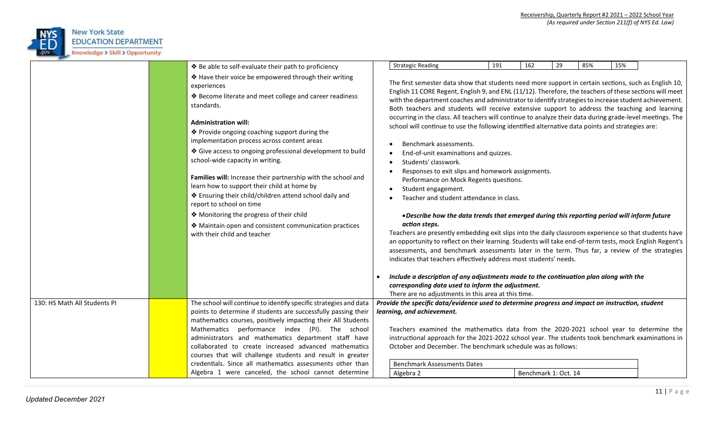

|                              |  | ❖ Be able to self-evaluate their path to proficiency                                                         |                                                                                                                    | <b>Strategic Reading</b>                                                                                                                                                                                         | 191 | 162                  | 29 | 85% | 15% |  |
|------------------------------|--|--------------------------------------------------------------------------------------------------------------|--------------------------------------------------------------------------------------------------------------------|------------------------------------------------------------------------------------------------------------------------------------------------------------------------------------------------------------------|-----|----------------------|----|-----|-----|--|
|                              |  |                                                                                                              |                                                                                                                    |                                                                                                                                                                                                                  |     |                      |    |     |     |  |
|                              |  | ♦ Have their voice be empowered through their writing<br>experiences                                         |                                                                                                                    | The first semester data show that students need more support in certain sections, such as English 10,<br>English 11 CORE Regent, English 9, and ENL (11/12). Therefore, the teachers of these sections will meet |     |                      |    |     |     |  |
|                              |  | ❖ Become literate and meet college and career readiness<br>standards.                                        |                                                                                                                    | with the department coaches and administrator to identify strategies to increase student achievement.<br>Both teachers and students will receive extensive support to address the teaching and learning          |     |                      |    |     |     |  |
|                              |  | <b>Administration will:</b>                                                                                  |                                                                                                                    | occurring in the class. All teachers will continue to analyze their data during grade-level meetings. The<br>school will continue to use the following identified alternative data points and strategies are:    |     |                      |    |     |     |  |
|                              |  | ❖ Provide ongoing coaching support during the<br>implementation process across content areas                 |                                                                                                                    |                                                                                                                                                                                                                  |     |                      |    |     |     |  |
|                              |  | ♦ Give access to ongoing professional development to build                                                   |                                                                                                                    | Benchmark assessments.                                                                                                                                                                                           |     |                      |    |     |     |  |
|                              |  | school-wide capacity in writing.                                                                             |                                                                                                                    | End-of-unit examinations and quizzes.<br>Students' classwork.                                                                                                                                                    |     |                      |    |     |     |  |
|                              |  | Families will: Increase their partnership with the school and<br>learn how to support their child at home by | Responses to exit slips and homework assignments.<br>Performance on Mock Regents questions.<br>Student engagement. |                                                                                                                                                                                                                  |     |                      |    |     |     |  |
|                              |  | ◆ Ensuring their child/children attend school daily and<br>report to school on time                          |                                                                                                                    | Teacher and student attendance in class.                                                                                                                                                                         |     |                      |    |     |     |  |
|                              |  | ◆ Monitoring the progress of their child                                                                     |                                                                                                                    | . Describe how the data trends that emerged during this reporting period will inform future                                                                                                                      |     |                      |    |     |     |  |
|                              |  | ◆ Maintain open and consistent communication practices                                                       |                                                                                                                    | action steps.                                                                                                                                                                                                    |     |                      |    |     |     |  |
|                              |  | with their child and teacher                                                                                 |                                                                                                                    | Teachers are presently embedding exit slips into the daily classroom experience so that students have                                                                                                            |     |                      |    |     |     |  |
|                              |  |                                                                                                              |                                                                                                                    | an opportunity to reflect on their learning. Students will take end-of-term tests, mock English Regent's<br>assessments, and benchmark assessments later in the term. Thus far, a review of the strategies       |     |                      |    |     |     |  |
|                              |  |                                                                                                              |                                                                                                                    | indicates that teachers effectively address most students' needs.                                                                                                                                                |     |                      |    |     |     |  |
|                              |  |                                                                                                              |                                                                                                                    |                                                                                                                                                                                                                  |     |                      |    |     |     |  |
|                              |  |                                                                                                              |                                                                                                                    | Include a description of any adjustments made to the continuation plan along with the                                                                                                                            |     |                      |    |     |     |  |
|                              |  |                                                                                                              |                                                                                                                    | corresponding data used to inform the adjustment.<br>There are no adjustments in this area at this time.                                                                                                         |     |                      |    |     |     |  |
| 130: HS Math All Students PI |  | The school will continue to identify specific strategies and data                                            |                                                                                                                    | Provide the specific data/evidence used to determine progress and impact on instruction, student                                                                                                                 |     |                      |    |     |     |  |
|                              |  | points to determine if students are successfully passing their                                               |                                                                                                                    | learning, and achievement.                                                                                                                                                                                       |     |                      |    |     |     |  |
|                              |  | mathematics courses, positively impacting their All Students                                                 |                                                                                                                    |                                                                                                                                                                                                                  |     |                      |    |     |     |  |
|                              |  | Mathematics performance index (PI). The school                                                               |                                                                                                                    | Teachers examined the mathematics data from the 2020-2021 school year to determine the                                                                                                                           |     |                      |    |     |     |  |
|                              |  | administrators and mathematics department staff have                                                         |                                                                                                                    | instructional approach for the 2021-2022 school year. The students took benchmark examinations in                                                                                                                |     |                      |    |     |     |  |
|                              |  | collaborated to create increased advanced mathematics                                                        |                                                                                                                    | October and December. The benchmark schedule was as follows:                                                                                                                                                     |     |                      |    |     |     |  |
|                              |  | courses that will challenge students and result in greater                                                   |                                                                                                                    |                                                                                                                                                                                                                  |     |                      |    |     |     |  |
|                              |  | credentials. Since all mathematics assessments other than                                                    |                                                                                                                    | <b>Benchmark Assessments Dates</b>                                                                                                                                                                               |     |                      |    |     |     |  |
|                              |  | Algebra 1 were canceled, the school cannot determine                                                         |                                                                                                                    | Algebra 2                                                                                                                                                                                                        |     | Benchmark 1: Oct. 14 |    |     |     |  |
|                              |  |                                                                                                              |                                                                                                                    |                                                                                                                                                                                                                  |     |                      |    |     |     |  |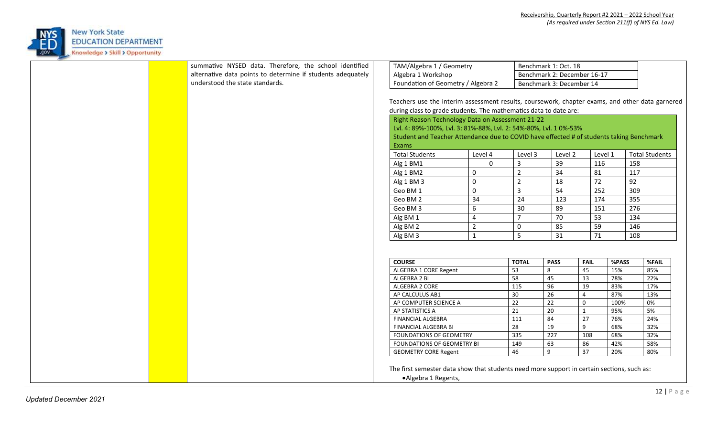

|  | summative NYSED data. Therefore, the school identified      | TAM/Algebra 1 / Geometry                                                                        |                |                | Benchmark 1: Oct. 18        |                 |       |                       |
|--|-------------------------------------------------------------|-------------------------------------------------------------------------------------------------|----------------|----------------|-----------------------------|-----------------|-------|-----------------------|
|  | alternative data points to determine if students adequately | Algebra 1 Workshop                                                                              |                |                | Benchmark 2: December 16-17 |                 |       |                       |
|  | understood the state standards.                             | Foundation of Geometry / Algebra 2                                                              |                |                | Benchmark 3: December 14    |                 |       |                       |
|  |                                                             |                                                                                                 |                |                |                             |                 |       |                       |
|  |                                                             | Teachers use the interim assessment results, coursework, chapter exams, and other data garnered |                |                |                             |                 |       |                       |
|  |                                                             | during class to grade students. The mathematics data to date are:                               |                |                |                             |                 |       |                       |
|  |                                                             |                                                                                                 |                |                |                             |                 |       |                       |
|  |                                                             | Right Reason Technology Data on Assessment 21-22                                                |                |                |                             |                 |       |                       |
|  |                                                             | Lvl. 4: 89%-100%, Lvl. 3: 81%-88%, Lvl. 2: 54%-80%, Lvl. 10%-53%                                |                |                |                             |                 |       |                       |
|  |                                                             | Student and Teacher Attendance due to COVID have effected # of students taking Benchmark        |                |                |                             |                 |       |                       |
|  |                                                             | Exams                                                                                           |                |                |                             |                 |       |                       |
|  |                                                             | <b>Total Students</b>                                                                           | Level 4        | Level 3        | Level 2                     | Level 1         |       | <b>Total Students</b> |
|  |                                                             | Alg 1 BM1                                                                                       | $\mathbf 0$    | $\overline{3}$ | 39                          | 116             | 158   |                       |
|  |                                                             | Alg 1 BM2                                                                                       | $\mathbf 0$    | $\overline{2}$ | 34                          | 81              | 117   |                       |
|  |                                                             | Alg 1 BM 3                                                                                      | $\mathsf 0$    | $\overline{2}$ | 18                          | 72              | 92    |                       |
|  |                                                             | Geo BM 1                                                                                        | $\mathbf 0$    | $\overline{3}$ | 54                          | 252             | 309   |                       |
|  |                                                             | Geo BM 2                                                                                        | 34             | 24             | 123                         | 174             | 355   |                       |
|  |                                                             | Geo BM 3                                                                                        | 6              | 30             | 89                          | 151             | 276   |                       |
|  |                                                             | Alg BM 1                                                                                        | $\overline{4}$ | $\overline{7}$ | 70                          | 53              | 134   |                       |
|  |                                                             | Alg BM 2                                                                                        | $\overline{2}$ | 0              | 85                          | 59              | 146   |                       |
|  |                                                             | Alg BM 3                                                                                        | $\mathbf{1}$   | 5              | 31                          | 71              | 108   |                       |
|  |                                                             |                                                                                                 |                |                |                             |                 |       |                       |
|  |                                                             |                                                                                                 |                |                |                             |                 |       |                       |
|  |                                                             | <b>COURSE</b>                                                                                   |                | <b>TOTAL</b>   | <b>PASS</b>                 | <b>FAIL</b>     | %PASS | %FAIL                 |
|  |                                                             | ALGEBRA 1 CORE Regent                                                                           |                | 53             | 8                           | 45              | 15%   | 85%                   |
|  |                                                             | ALGEBRA 2 BI                                                                                    |                | 58             | 45                          | $\overline{13}$ | 78%   | 22%                   |
|  |                                                             | ALGEBRA 2 CORE                                                                                  |                | 115            | 96                          | 19              | 83%   | 17%                   |
|  |                                                             | AP CALCULUS AB1                                                                                 |                | 30             | 26                          | $\overline{4}$  | 87%   | 13%                   |
|  |                                                             | AP COMPUTER SCIENCE A                                                                           |                | 22             | 22                          | $\mathbf 0$     | 100%  | 0%                    |
|  |                                                             | AP STATISTICS A                                                                                 |                | 21             | $\overline{20}$             | $\mathbf{1}$    | 95%   | 5%                    |
|  |                                                             | FINANCIAL ALGEBRA                                                                               |                | 111            | 84                          | $27$            | 76%   | 24%                   |
|  |                                                             | FINANCIAL ALGEBRA BI                                                                            |                | 28             | 19                          | 9               | 68%   | 32%                   |
|  |                                                             | FOUNDATIONS OF GEOMETRY                                                                         |                | 335            | 227                         | 108             | 68%   | 32%                   |
|  |                                                             | FOUNDATIONS OF GEOMETRY BI                                                                      |                | 149            | 63                          | 86              | 42%   | 58%                   |
|  |                                                             | <b>GEOMETRY CORE Regent</b>                                                                     |                | 46             | 9                           | 37              | 20%   | 80%                   |
|  |                                                             |                                                                                                 |                |                |                             |                 |       |                       |
|  |                                                             | The first semester data show that students need more support in certain sections, such as:      |                |                |                             |                 |       |                       |
|  |                                                             | • Algebra 1 Regents,                                                                            |                |                |                             |                 |       |                       |
|  |                                                             |                                                                                                 |                |                |                             |                 |       |                       |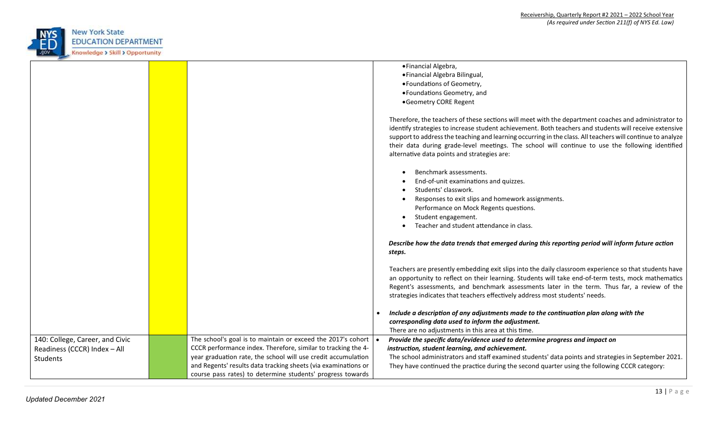

|                                                                             |                                                                                                                                                                                                                                                                                                                                | · Financial Algebra,<br>· Financial Algebra Bilingual,<br>· Foundations of Geometry,<br>• Foundations Geometry, and<br>• Geometry CORE Regent<br>Therefore, the teachers of these sections will meet with the department coaches and administrator to                                                                                                                                        |
|-----------------------------------------------------------------------------|--------------------------------------------------------------------------------------------------------------------------------------------------------------------------------------------------------------------------------------------------------------------------------------------------------------------------------|----------------------------------------------------------------------------------------------------------------------------------------------------------------------------------------------------------------------------------------------------------------------------------------------------------------------------------------------------------------------------------------------|
|                                                                             |                                                                                                                                                                                                                                                                                                                                | identify strategies to increase student achievement. Both teachers and students will receive extensive<br>support to address the teaching and learning occurring in the class. All teachers will continue to analyze<br>their data during grade-level meetings. The school will continue to use the following identified<br>alternative data points and strategies are:                      |
|                                                                             |                                                                                                                                                                                                                                                                                                                                | Benchmark assessments.<br>End-of-unit examinations and quizzes.<br>Students' classwork.<br>Responses to exit slips and homework assignments.<br>Performance on Mock Regents questions.<br>Student engagement.                                                                                                                                                                                |
|                                                                             |                                                                                                                                                                                                                                                                                                                                | Teacher and student attendance in class.<br>Describe how the data trends that emerged during this reporting period will inform future action<br>steps.                                                                                                                                                                                                                                       |
|                                                                             |                                                                                                                                                                                                                                                                                                                                | Teachers are presently embedding exit slips into the daily classroom experience so that students have<br>an opportunity to reflect on their learning. Students will take end-of-term tests, mock mathematics<br>Regent's assessments, and benchmark assessments later in the term. Thus far, a review of the<br>strategies indicates that teachers effectively address most students' needs. |
|                                                                             |                                                                                                                                                                                                                                                                                                                                | Include a description of any adjustments made to the continuation plan along with the<br>corresponding data used to inform the adjustment.<br>There are no adjustments in this area at this time.                                                                                                                                                                                            |
| 140: College, Career, and Civic<br>Readiness (CCCR) Index - All<br>Students | The school's goal is to maintain or exceed the 2017's cohort<br>CCCR performance index. Therefore, similar to tracking the 4-<br>year graduation rate, the school will use credit accumulation<br>and Regents' results data tracking sheets (via examinations or<br>course pass rates) to determine students' progress towards | Provide the specific data/evidence used to determine progress and impact on<br>instruction, student learning, and achievement.<br>The school administrators and staff examined students' data points and strategies in September 2021.<br>They have continued the practice during the second quarter using the following CCCR category:                                                      |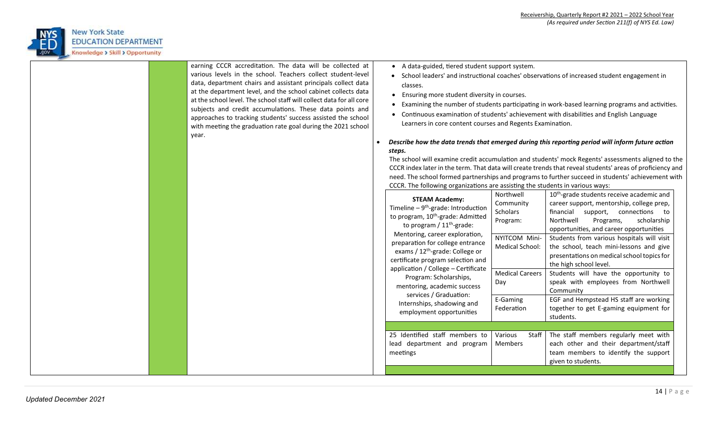

| earning CCCR accreditation. The data will be collected at<br>various levels in the school. Teachers collect student-level<br>data, department chairs and assistant principals collect data<br>at the department level, and the school cabinet collects data<br>at the school level. The school staff will collect data for all core<br>subjects and credit accumulations. These data points and<br>approaches to tracking students' success assisted the school<br>with meeting the graduation rate goal during the 2021 school<br>year. | • A data-guided, tiered student support system.<br>classes.<br>• Ensuring more student diversity in courses.<br>Learners in core content courses and Regents Examination.<br>steps.<br>CCCR. The following organizations are assisting the students in various ways:<br><b>STEAM Academy:</b><br>Timeline $-9^{th}$ -grade: Introduction<br>to program, 10 <sup>th</sup> -grade: Admitted<br>to program / $11th$ -grade:<br>Mentoring, career exploration,<br>preparation for college entrance<br>exams / 12 <sup>th</sup> -grade: College or<br>certificate program selection and<br>application / College - Certificate<br>Program: Scholarships,<br>mentoring, academic success<br>services / Graduation:<br>Internships, shadowing and<br>employment opportunities | Northwell<br>Community<br>Scholars<br>Program:<br>NYITCOM Mini-<br>Medical School:<br><b>Medical Careers</b><br>Day<br>E-Gaming<br>Federation | • School leaders' and instructional coaches' observations of increased student engagement in<br>• Examining the number of students participating in work-based learning programs and activities.<br>• Continuous examination of students' achievement with disabilities and English Language<br>Describe how the data trends that emerged during this reporting period will inform future action<br>The school will examine credit accumulation and students' mock Regents' assessments aligned to the<br>CCCR index later in the term. That data will create trends that reveal students' areas of proficiency and<br>need. The school formed partnerships and programs to further succeed in students' achievement with<br>10 <sup>th</sup> -grade students receive academic and<br>career support, mentorship, college prep,<br>financial support, connections to<br>Northwell<br>Programs,<br>scholarship<br>opportunities, and career opportunities<br>Students from various hospitals will visit<br>the school, teach mini-lessons and give<br>presentations on medical school topics for<br>the high school level.<br>Students will have the opportunity to<br>speak with employees from Northwell<br>Community<br>EGF and Hempstead HS staff are working<br>together to get E-gaming equipment for<br>students. |
|------------------------------------------------------------------------------------------------------------------------------------------------------------------------------------------------------------------------------------------------------------------------------------------------------------------------------------------------------------------------------------------------------------------------------------------------------------------------------------------------------------------------------------------|------------------------------------------------------------------------------------------------------------------------------------------------------------------------------------------------------------------------------------------------------------------------------------------------------------------------------------------------------------------------------------------------------------------------------------------------------------------------------------------------------------------------------------------------------------------------------------------------------------------------------------------------------------------------------------------------------------------------------------------------------------------------|-----------------------------------------------------------------------------------------------------------------------------------------------|-------------------------------------------------------------------------------------------------------------------------------------------------------------------------------------------------------------------------------------------------------------------------------------------------------------------------------------------------------------------------------------------------------------------------------------------------------------------------------------------------------------------------------------------------------------------------------------------------------------------------------------------------------------------------------------------------------------------------------------------------------------------------------------------------------------------------------------------------------------------------------------------------------------------------------------------------------------------------------------------------------------------------------------------------------------------------------------------------------------------------------------------------------------------------------------------------------------------------------------------------------------------------------------------------------------------------|
|                                                                                                                                                                                                                                                                                                                                                                                                                                                                                                                                          | 25 Identified staff members to<br>lead department and program<br>meetings                                                                                                                                                                                                                                                                                                                                                                                                                                                                                                                                                                                                                                                                                              | Various<br>Staff<br>Members                                                                                                                   | The staff members regularly meet with<br>each other and their department/staff<br>team members to identify the support<br>given to students.                                                                                                                                                                                                                                                                                                                                                                                                                                                                                                                                                                                                                                                                                                                                                                                                                                                                                                                                                                                                                                                                                                                                                                            |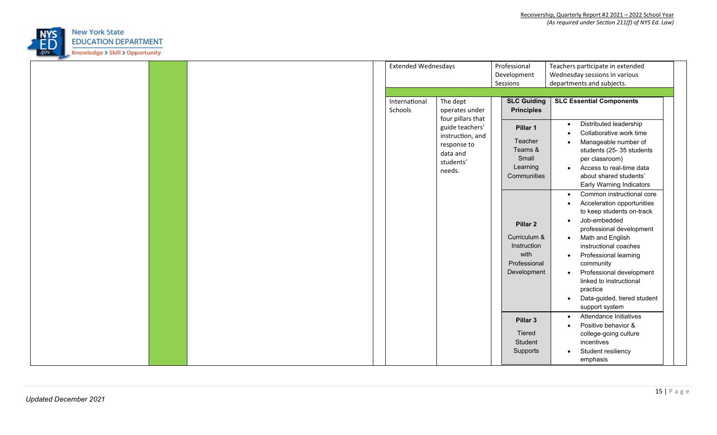

|               | Professional<br><b>Extended Wednesdays</b><br>Teachers participate in extended          |  |
|---------------|-----------------------------------------------------------------------------------------|--|
|               | Wednesday sessions in various<br>Development                                            |  |
|               | departments and subjects.<br>Sessions                                                   |  |
|               |                                                                                         |  |
| International | The dept<br><b>SLC Guiding</b><br><b>SLC Essential Components</b>                       |  |
| Schools       | <b>Principles</b><br>operates under                                                     |  |
|               | four pillars that<br>Distributed leadership<br>$\bullet$<br>guide teachers'<br>Pillar 1 |  |
|               | Collaborative work time<br>$\bullet$<br>instruction, and                                |  |
|               | Teacher<br>Manageable number of<br>response to                                          |  |
|               | Teams &<br>students (25-35 students<br>data and                                         |  |
|               | Small<br>per classroom)<br>students'                                                    |  |
|               | Access to real-time data<br>Learning<br>$\bullet$<br>needs.                             |  |
|               | Communities<br>about shared students'                                                   |  |
|               | Early Warning Indicators                                                                |  |
|               | Common instructional core<br>$\bullet$                                                  |  |
|               | Acceleration opportunities<br>$\bullet$                                                 |  |
|               | to keep students on-track                                                               |  |
|               | Job-embedded<br>$\bullet$<br>Pillar <sub>2</sub>                                        |  |
|               | professional development                                                                |  |
|               | Curriculum &<br>Math and English<br>$\bullet$                                           |  |
|               | Instruction<br>instructional coaches                                                    |  |
|               | with<br>Professional learning<br>$\bullet$                                              |  |
|               | Professional<br>community                                                               |  |
|               | Development<br>Professional development<br>$\bullet$                                    |  |
|               | linked to instructional                                                                 |  |
|               | practice                                                                                |  |
|               | Data-guided, tiered student                                                             |  |
|               | support system                                                                          |  |
|               | Attendance Initiatives<br>$\bullet$                                                     |  |
|               | Pillar 3<br>Positive behavior &<br>$\bullet$                                            |  |
|               | Tiered<br>college-going culture                                                         |  |
|               | Student<br>incentives                                                                   |  |
|               | Student resiliency<br>Supports                                                          |  |
|               |                                                                                         |  |
|               | emphasis                                                                                |  |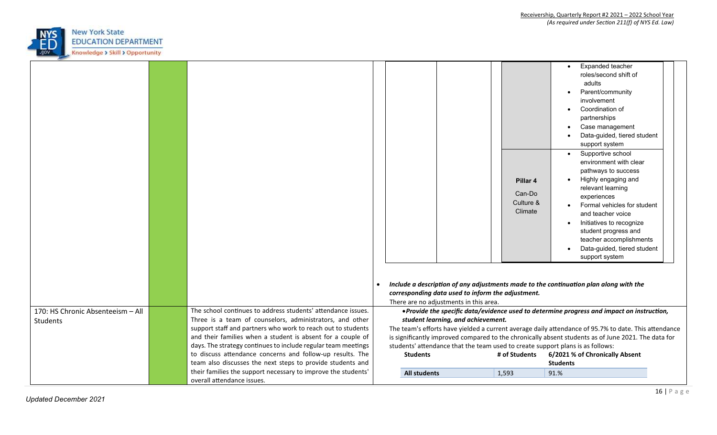

|                                   |                                                                                                                          |                     |                                                   | Pillar 4<br>Can-Do<br>Culture &<br>Climate | Expanded teacher<br>roles/second shift of<br>adults<br>Parent/community<br>involvement<br>Coordination of<br>partnerships<br>Case management<br>Data-guided, tiered student<br>support system<br>Supportive school<br>environment with clear<br>pathways to success<br>Highly engaging and<br>relevant learning<br>experiences<br>Formal vehicles for student<br>and teacher voice<br>Initiatives to recognize<br>student progress and<br>teacher accomplishments<br>Data-guided, tiered student<br>support system |  |
|-----------------------------------|--------------------------------------------------------------------------------------------------------------------------|---------------------|---------------------------------------------------|--------------------------------------------|--------------------------------------------------------------------------------------------------------------------------------------------------------------------------------------------------------------------------------------------------------------------------------------------------------------------------------------------------------------------------------------------------------------------------------------------------------------------------------------------------------------------|--|
|                                   |                                                                                                                          |                     |                                                   |                                            | Include a description of any adjustments made to the continuation plan along with the                                                                                                                                                                                                                                                                                                                                                                                                                              |  |
|                                   |                                                                                                                          |                     | corresponding data used to inform the adjustment. |                                            |                                                                                                                                                                                                                                                                                                                                                                                                                                                                                                                    |  |
|                                   |                                                                                                                          |                     | There are no adjustments in this area.            |                                            |                                                                                                                                                                                                                                                                                                                                                                                                                                                                                                                    |  |
| 170: HS Chronic Absenteeism - All | The school continues to address students' attendance issues.                                                             |                     |                                                   |                                            | • Provide the specific data/evidence used to determine progress and impact on instruction,                                                                                                                                                                                                                                                                                                                                                                                                                         |  |
| Students                          | Three is a team of counselors, administrators, and other<br>support staff and partners who work to reach out to students |                     | student learning, and achievement.                |                                            | The team's efforts have yielded a current average daily attendance of 95.7% to date. This attendance                                                                                                                                                                                                                                                                                                                                                                                                               |  |
|                                   | and their families when a student is absent for a couple of                                                              |                     |                                                   |                                            | is significantly improved compared to the chronically absent students as of June 2021. The data for                                                                                                                                                                                                                                                                                                                                                                                                                |  |
|                                   | days. The strategy continues to include regular team meetings                                                            |                     |                                                   |                                            | students' attendance that the team used to create support plans is as follows:                                                                                                                                                                                                                                                                                                                                                                                                                                     |  |
|                                   | to discuss attendance concerns and follow-up results. The                                                                | <b>Students</b>     |                                                   | # of Students                              | 6/2021 % of Chronically Absent                                                                                                                                                                                                                                                                                                                                                                                                                                                                                     |  |
|                                   | team also discusses the next steps to provide students and                                                               |                     |                                                   |                                            | <b>Students</b>                                                                                                                                                                                                                                                                                                                                                                                                                                                                                                    |  |
|                                   | their families the support necessary to improve the students'                                                            | <b>All students</b> |                                                   | 1,593                                      | 91.%                                                                                                                                                                                                                                                                                                                                                                                                                                                                                                               |  |
|                                   | overall attendance issues.                                                                                               |                     |                                                   |                                            |                                                                                                                                                                                                                                                                                                                                                                                                                                                                                                                    |  |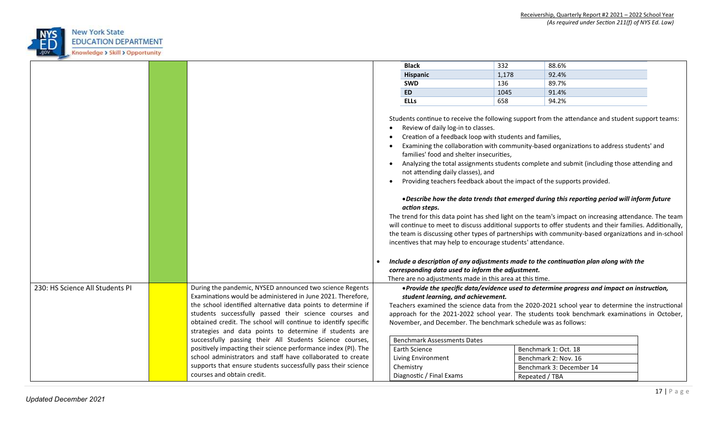

|                                                                                                                                  |  |                                                                |  | <b>Black</b>                                                                                                                                                                                                                                                                                                                                                                    | 332   | 88.6%                                                                                                                                                                                                                                                                                                                                                                                                                                                                                                                                                                                                                                                                                                                                                                                                                                                                                    |  |
|----------------------------------------------------------------------------------------------------------------------------------|--|----------------------------------------------------------------|--|---------------------------------------------------------------------------------------------------------------------------------------------------------------------------------------------------------------------------------------------------------------------------------------------------------------------------------------------------------------------------------|-------|------------------------------------------------------------------------------------------------------------------------------------------------------------------------------------------------------------------------------------------------------------------------------------------------------------------------------------------------------------------------------------------------------------------------------------------------------------------------------------------------------------------------------------------------------------------------------------------------------------------------------------------------------------------------------------------------------------------------------------------------------------------------------------------------------------------------------------------------------------------------------------------|--|
|                                                                                                                                  |  |                                                                |  | <b>Hispanic</b>                                                                                                                                                                                                                                                                                                                                                                 | 1,178 | 92.4%                                                                                                                                                                                                                                                                                                                                                                                                                                                                                                                                                                                                                                                                                                                                                                                                                                                                                    |  |
|                                                                                                                                  |  |                                                                |  | <b>SWD</b>                                                                                                                                                                                                                                                                                                                                                                      | 136   | 89.7%                                                                                                                                                                                                                                                                                                                                                                                                                                                                                                                                                                                                                                                                                                                                                                                                                                                                                    |  |
|                                                                                                                                  |  |                                                                |  | <b>ED</b>                                                                                                                                                                                                                                                                                                                                                                       | 1045  | 91.4%                                                                                                                                                                                                                                                                                                                                                                                                                                                                                                                                                                                                                                                                                                                                                                                                                                                                                    |  |
|                                                                                                                                  |  |                                                                |  | <b>ELLs</b>                                                                                                                                                                                                                                                                                                                                                                     | 658   | 94.2%                                                                                                                                                                                                                                                                                                                                                                                                                                                                                                                                                                                                                                                                                                                                                                                                                                                                                    |  |
|                                                                                                                                  |  |                                                                |  | Review of daily log-in to classes.<br>Creation of a feedback loop with students and families,<br>families' food and shelter insecurities,<br>not attending daily classes), and<br>action steps.<br>incentives that may help to encourage students' attendance.<br>corresponding data used to inform the adjustment.<br>There are no adjustments made in this area at this time. |       | Students continue to receive the following support from the attendance and student support teams:<br>Examining the collaboration with community-based organizations to address students' and<br>Analyzing the total assignments students complete and submit (including those attending and<br>Providing teachers feedback about the impact of the supports provided.<br>. Describe how the data trends that emerged during this reporting period will inform future<br>The trend for this data point has shed light on the team's impact on increasing attendance. The team<br>will continue to meet to discuss additional supports to offer students and their families. Additionally,<br>the team is discussing other types of partnerships with community-based organizations and in-school<br>Include a description of any adjustments made to the continuation plan along with the |  |
| 230: HS Science All Students PI                                                                                                  |  | During the pandemic, NYSED announced two science Regents       |  |                                                                                                                                                                                                                                                                                                                                                                                 |       | • Provide the specific data/evidence used to determine progress and impact on instruction,                                                                                                                                                                                                                                                                                                                                                                                                                                                                                                                                                                                                                                                                                                                                                                                               |  |
|                                                                                                                                  |  | Examinations would be administered in June 2021. Therefore,    |  | student learning, and achievement.                                                                                                                                                                                                                                                                                                                                              |       |                                                                                                                                                                                                                                                                                                                                                                                                                                                                                                                                                                                                                                                                                                                                                                                                                                                                                          |  |
|                                                                                                                                  |  | the school identified alternative data points to determine if  |  |                                                                                                                                                                                                                                                                                                                                                                                 |       | Teachers examined the science data from the 2020-2021 school year to determine the instructional                                                                                                                                                                                                                                                                                                                                                                                                                                                                                                                                                                                                                                                                                                                                                                                         |  |
|                                                                                                                                  |  | students successfully passed their science courses and         |  |                                                                                                                                                                                                                                                                                                                                                                                 |       | approach for the 2021-2022 school year. The students took benchmark examinations in October,                                                                                                                                                                                                                                                                                                                                                                                                                                                                                                                                                                                                                                                                                                                                                                                             |  |
| obtained credit. The school will continue to identify specific<br>November, and December. The benchmark schedule was as follows: |  |                                                                |  |                                                                                                                                                                                                                                                                                                                                                                                 |       |                                                                                                                                                                                                                                                                                                                                                                                                                                                                                                                                                                                                                                                                                                                                                                                                                                                                                          |  |
|                                                                                                                                  |  | strategies and data points to determine if students are        |  |                                                                                                                                                                                                                                                                                                                                                                                 |       |                                                                                                                                                                                                                                                                                                                                                                                                                                                                                                                                                                                                                                                                                                                                                                                                                                                                                          |  |
|                                                                                                                                  |  | successfully passing their All Students Science courses,       |  | <b>Benchmark Assessments Dates</b>                                                                                                                                                                                                                                                                                                                                              |       |                                                                                                                                                                                                                                                                                                                                                                                                                                                                                                                                                                                                                                                                                                                                                                                                                                                                                          |  |
|                                                                                                                                  |  | positively impacting their science performance index (PI). The |  | Earth Science                                                                                                                                                                                                                                                                                                                                                                   |       | Benchmark 1: Oct. 18                                                                                                                                                                                                                                                                                                                                                                                                                                                                                                                                                                                                                                                                                                                                                                                                                                                                     |  |
|                                                                                                                                  |  | school administrators and staff have collaborated to create    |  | Living Environment                                                                                                                                                                                                                                                                                                                                                              |       | Benchmark 2: Nov. 16                                                                                                                                                                                                                                                                                                                                                                                                                                                                                                                                                                                                                                                                                                                                                                                                                                                                     |  |
|                                                                                                                                  |  | supports that ensure students successfully pass their science  |  | Chemistry                                                                                                                                                                                                                                                                                                                                                                       |       | Benchmark 3: December 14                                                                                                                                                                                                                                                                                                                                                                                                                                                                                                                                                                                                                                                                                                                                                                                                                                                                 |  |
|                                                                                                                                  |  | courses and obtain credit.                                     |  | Diagnostic / Final Exams                                                                                                                                                                                                                                                                                                                                                        |       | Repeated / TBA                                                                                                                                                                                                                                                                                                                                                                                                                                                                                                                                                                                                                                                                                                                                                                                                                                                                           |  |
|                                                                                                                                  |  |                                                                |  |                                                                                                                                                                                                                                                                                                                                                                                 |       |                                                                                                                                                                                                                                                                                                                                                                                                                                                                                                                                                                                                                                                                                                                                                                                                                                                                                          |  |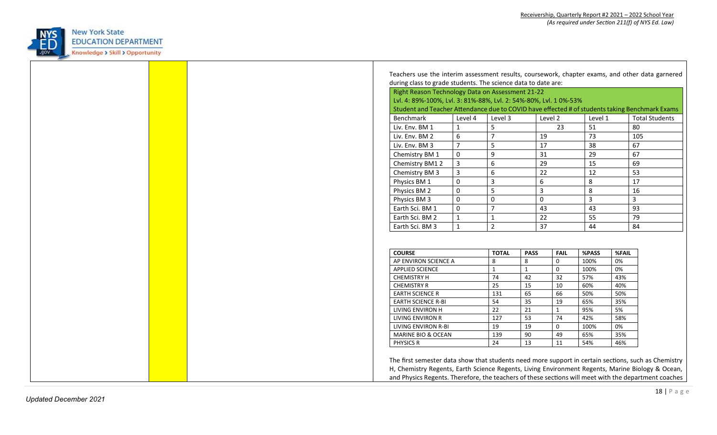

| Right Reason Technology Data on Assessment 21-22<br>Lvl. 4: 89%-100%, Lvl. 3: 81%-88%, Lvl. 2: 54%-80%, Lvl. 10%-53% |  |                                                  |                  |              |                            |                |             |                                                                                                |  |    |
|----------------------------------------------------------------------------------------------------------------------|--|--------------------------------------------------|------------------|--------------|----------------------------|----------------|-------------|------------------------------------------------------------------------------------------------|--|----|
|                                                                                                                      |  |                                                  |                  |              |                            |                |             | Student and Teacher Attendance due to COVID have effected # of students taking Benchmark Exams |  |    |
| Level 4                                                                                                              |  | Level 3                                          |                  | Level 2      |                            | Level 1        |             | <b>Total Students</b>                                                                          |  |    |
|                                                                                                                      |  | 5                                                |                  |              | 23                         | 51             |             | 80                                                                                             |  |    |
| 6                                                                                                                    |  | $\overline{7}$                                   |                  | 19           |                            | 73             |             | 105                                                                                            |  |    |
|                                                                                                                      |  | 5                                                |                  | 17           |                            | 38             |             | 67                                                                                             |  |    |
| $\mathbf 0$                                                                                                          |  | 9                                                |                  | 31           |                            | 29             |             | 67                                                                                             |  |    |
|                                                                                                                      |  | 6                                                |                  | 29           |                            | 15             |             | 69                                                                                             |  |    |
|                                                                                                                      |  | $\sqrt{6}$                                       |                  | 22           |                            | 12             |             | 53                                                                                             |  |    |
| $\mathsf 0$                                                                                                          |  | $\overline{3}$                                   |                  | 6            |                            | 8              |             | 17                                                                                             |  |    |
| $\mathsf 0$                                                                                                          |  | 5                                                |                  | $\mathbf{3}$ |                            | 8              |             | 16                                                                                             |  |    |
| $\mathsf 0$                                                                                                          |  | $\pmb{0}$                                        | $\mathbf 0$      |              |                            | $\overline{3}$ |             | 3                                                                                              |  |    |
| $\mathsf 0$                                                                                                          |  | $\overline{7}$<br>$\mathbf{1}$<br>$\overline{2}$ |                  |              |                            | 43             |             | 43                                                                                             |  | 93 |
|                                                                                                                      |  |                                                  |                  | 22           |                            | 55             |             | 79                                                                                             |  |    |
|                                                                                                                      |  |                                                  |                  | 37           |                            | 44             |             | 84                                                                                             |  |    |
|                                                                                                                      |  | <b>TOTAL</b><br>8                                | <b>PASS</b><br>8 |              | <b>FAIL</b><br>$\mathsf 0$ | %PASS<br>100%  | %FAIL<br>0% |                                                                                                |  |    |
|                                                                                                                      |  | $\mathbf{1}$                                     | $\mathbf{1}$     |              | $\mathsf{O}\xspace$        | 100%           | 0%          |                                                                                                |  |    |
|                                                                                                                      |  | 74                                               | 42               |              | 32                         | 57%            | 43%         |                                                                                                |  |    |
|                                                                                                                      |  | 25                                               | 15               |              | $10\,$                     | 60%            | 40%         |                                                                                                |  |    |
|                                                                                                                      |  | 131                                              | 65               |              | 66                         | 50%            | 50%         |                                                                                                |  |    |
|                                                                                                                      |  | 54                                               | 35               |              | 19                         | 65%            | 35%         |                                                                                                |  |    |
|                                                                                                                      |  | 22                                               | 21               |              | $\mathbf{1}$               | 95%            | 5%          |                                                                                                |  |    |
|                                                                                                                      |  | 127                                              | $\overline{53}$  |              | 74                         | 42%            | 58%         |                                                                                                |  |    |
|                                                                                                                      |  | 19                                               | 19               |              | $\mathbf 0$                | 100%           | 0%          |                                                                                                |  |    |
|                                                                                                                      |  | 139                                              | $90\,$           |              | 49                         | 65%            | 35%         |                                                                                                |  |    |
|                                                                                                                      |  | 24                                               | 13               |              | 11                         | 54%            | 46%         |                                                                                                |  |    |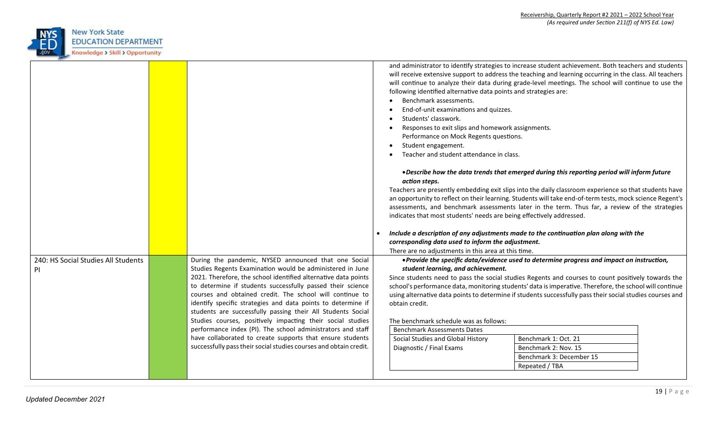

|                                                  |                                                                                                                                                                                                                                                                                                                                                                                                                                                                                                                                                                                        | following identified alternative data points and strategies are:<br>Benchmark assessments.<br>End-of-unit examinations and quizzes.<br>Students' classwork.<br>Responses to exit slips and homework assignments.<br>Performance on Mock Regents questions.<br>Student engagement.<br>Teacher and student attendance in class. | and administrator to identify strategies to increase student achievement. Both teachers and students<br>will receive extensive support to address the teaching and learning occurring in the class. All teachers<br>will continue to analyze their data during grade-level meetings. The school will continue to use the                                                                                                                                                                                    |  |
|--------------------------------------------------|----------------------------------------------------------------------------------------------------------------------------------------------------------------------------------------------------------------------------------------------------------------------------------------------------------------------------------------------------------------------------------------------------------------------------------------------------------------------------------------------------------------------------------------------------------------------------------------|-------------------------------------------------------------------------------------------------------------------------------------------------------------------------------------------------------------------------------------------------------------------------------------------------------------------------------|-------------------------------------------------------------------------------------------------------------------------------------------------------------------------------------------------------------------------------------------------------------------------------------------------------------------------------------------------------------------------------------------------------------------------------------------------------------------------------------------------------------|--|
|                                                  |                                                                                                                                                                                                                                                                                                                                                                                                                                                                                                                                                                                        | action steps.<br>indicates that most students' needs are being effectively addressed.<br>corresponding data used to inform the adjustment.                                                                                                                                                                                    | . Describe how the data trends that emerged during this reporting period will inform future<br>Teachers are presently embedding exit slips into the daily classroom experience so that students have<br>an opportunity to reflect on their learning. Students will take end-of-term tests, mock science Regent's<br>assessments, and benchmark assessments later in the term. Thus far, a review of the strategies<br>Include a description of any adjustments made to the continuation plan along with the |  |
|                                                  |                                                                                                                                                                                                                                                                                                                                                                                                                                                                                                                                                                                        | There are no adjustments in this area at this time.                                                                                                                                                                                                                                                                           |                                                                                                                                                                                                                                                                                                                                                                                                                                                                                                             |  |
| 240: HS Social Studies All Students<br><b>PI</b> | During the pandemic, NYSED announced that one Social<br>Studies Regents Examination would be administered in June                                                                                                                                                                                                                                                                                                                                                                                                                                                                      | student learning, and achievement.                                                                                                                                                                                                                                                                                            | • Provide the specific data/evidence used to determine progress and impact on instruction,                                                                                                                                                                                                                                                                                                                                                                                                                  |  |
|                                                  | 2021. Therefore, the school identified alternative data points<br>to determine if students successfully passed their science<br>courses and obtained credit. The school will continue to<br>identify specific strategies and data points to determine if<br>students are successfully passing their All Students Social<br>Studies courses, positively impacting their social studies<br>performance index (PI). The school administrators and staff<br>have collaborated to create supports that ensure students<br>successfully pass their social studies courses and obtain credit. | obtain credit.<br>The benchmark schedule was as follows:<br><b>Benchmark Assessments Dates</b><br>Social Studies and Global History<br>Diagnostic / Final Exams                                                                                                                                                               | Since students need to pass the social studies Regents and courses to count positively towards the<br>school's performance data, monitoring students' data is imperative. Therefore, the school will continue<br>using alternative data points to determine if students successfully pass their social studies courses and<br>Benchmark 1: Oct. 21<br>Benchmark 2: Nov. 15<br>Benchmark 3: December 15<br>Repeated / TBA                                                                                    |  |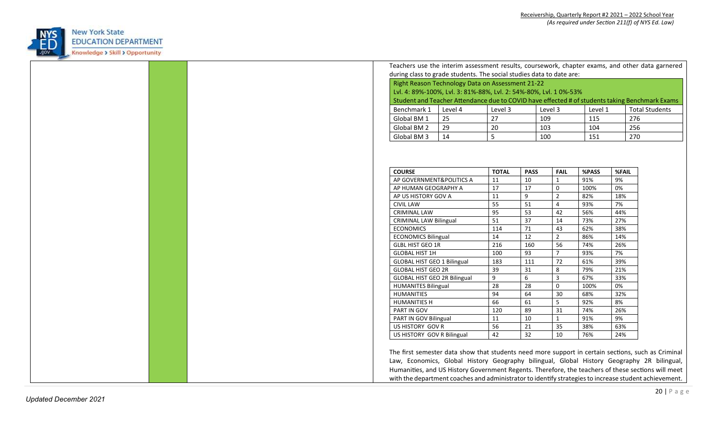

|  | Teachers use the interim assessment results, coursework, chapter exams, and other data garnered                                                                                                                                                                                                        |    |              |                 |                     |            |            |  |
|--|--------------------------------------------------------------------------------------------------------------------------------------------------------------------------------------------------------------------------------------------------------------------------------------------------------|----|--------------|-----------------|---------------------|------------|------------|--|
|  | during class to grade students. The social studies data to date are:                                                                                                                                                                                                                                   |    |              |                 |                     |            |            |  |
|  | Right Reason Technology Data on Assessment 21-22                                                                                                                                                                                                                                                       |    |              |                 |                     |            |            |  |
|  | Lvl. 4: 89%-100%, Lvl. 3: 81%-88%, Lvl. 2: 54%-80%, Lvl. 10%-53%                                                                                                                                                                                                                                       |    |              |                 |                     |            |            |  |
|  | Student and Teacher Attendance due to COVID have effected # of students taking Benchmark Exams                                                                                                                                                                                                         |    |              |                 |                     |            |            |  |
|  | Benchmark 1<br>Level 4<br>Level 3<br>Level 1<br><b>Total Students</b><br>Level 3                                                                                                                                                                                                                       |    |              |                 |                     |            |            |  |
|  | Global BM 1                                                                                                                                                                                                                                                                                            | 25 | 27           | 109             |                     | 276<br>115 |            |  |
|  | Global BM 2                                                                                                                                                                                                                                                                                            | 29 | 20           | 103             |                     |            | 256<br>104 |  |
|  | Global BM 3                                                                                                                                                                                                                                                                                            | 14 | 5            | 100             |                     | 151        | 270        |  |
|  |                                                                                                                                                                                                                                                                                                        |    |              |                 |                     |            |            |  |
|  |                                                                                                                                                                                                                                                                                                        |    |              |                 |                     |            |            |  |
|  |                                                                                                                                                                                                                                                                                                        |    |              |                 |                     |            |            |  |
|  | <b>COURSE</b>                                                                                                                                                                                                                                                                                          |    | <b>TOTAL</b> | <b>PASS</b>     | <b>FAIL</b>         | %PASS      | %FAIL      |  |
|  | AP GOVERNMENT&POLITICS A                                                                                                                                                                                                                                                                               |    | 11           | 10              | $\mathbf{1}$        | 91%        | 9%         |  |
|  | AP HUMAN GEOGRAPHY A                                                                                                                                                                                                                                                                                   |    | 17           | 17              | $\mathsf{O}\xspace$ | 100%       | 0%         |  |
|  | AP US HISTORY GOV A                                                                                                                                                                                                                                                                                    |    | 11           | 9               | $\overline{2}$      | 82%        | 18%        |  |
|  | <b>CIVIL LAW</b>                                                                                                                                                                                                                                                                                       |    | 55           | 51              | $\overline{4}$      | 93%        | 7%         |  |
|  | <b>CRIMINAL LAW</b>                                                                                                                                                                                                                                                                                    |    | 95           | 53              | 42                  | 56%        | 44%        |  |
|  | <b>CRIMINAL LAW Bilingual</b>                                                                                                                                                                                                                                                                          |    | 51           | $\overline{37}$ | 14                  | 73%        | 27%        |  |
|  | <b>ECONOMICS</b>                                                                                                                                                                                                                                                                                       |    | 114          | 71              | 43                  | 62%        | 38%        |  |
|  | <b>ECONOMICS Bilingual</b>                                                                                                                                                                                                                                                                             |    | 14           | 12              | $\overline{2}$      | 86%        | 14%        |  |
|  | <b>GLBL HIST GEO 1R</b>                                                                                                                                                                                                                                                                                |    | 216          | 160             | 56                  | 74%        | 26%        |  |
|  | <b>GLOBAL HIST 1H</b>                                                                                                                                                                                                                                                                                  |    | 100          | 93              | $\overline{7}$      | 93%        | 7%         |  |
|  | <b>GLOBAL HIST GEO 1 Bilingual</b>                                                                                                                                                                                                                                                                     |    | 183          | 111             | 72                  | 61%        | 39%        |  |
|  | <b>GLOBAL HIST GEO 2R</b>                                                                                                                                                                                                                                                                              |    | 39           | 31              | $\bf 8$             | 79%        | 21%        |  |
|  | GLOBAL HIST GEO 2R Bilingual                                                                                                                                                                                                                                                                           |    | 9            | 6               | $\mathbf{3}$        | 67%        | 33%        |  |
|  | <b>HUMANITES Bilingual</b>                                                                                                                                                                                                                                                                             |    | 28           | 28              | $\mathsf 0$         | 100%       | 0%         |  |
|  | HUMANITIES                                                                                                                                                                                                                                                                                             |    | 94           | 64              | 30                  | 68%        | 32%        |  |
|  | <b>HUMANITIES H</b>                                                                                                                                                                                                                                                                                    |    | 66           | 61              | 5                   | 92%        | 8%         |  |
|  | PART IN GOV                                                                                                                                                                                                                                                                                            |    | 120          | 89              | 31                  | 74%        | 26%        |  |
|  | PART IN GOV Bilingual                                                                                                                                                                                                                                                                                  |    | 11           | 10              | $\mathbf{1}$        | 91%        | 9%         |  |
|  | US HISTORY GOV R                                                                                                                                                                                                                                                                                       |    | 56           | 21              | 35                  | 38%        | 63%        |  |
|  | US HISTORY GOV R Bilingual<br>42                                                                                                                                                                                                                                                                       |    |              | $\overline{32}$ | 10                  | 76%        | 24%        |  |
|  | The first semester data show that students need more support in certain sections, such as Criminal<br>Law, Economics, Global History Geography bilingual, Global History Geography 2R bilingual,<br>Humanities, and US History Government Regents. Therefore, the teachers of these sections will meet |    |              |                 |                     |            |            |  |
|  | with the department coaches and administrator to identify strategies to increase student achievement.                                                                                                                                                                                                  |    |              |                 |                     |            |            |  |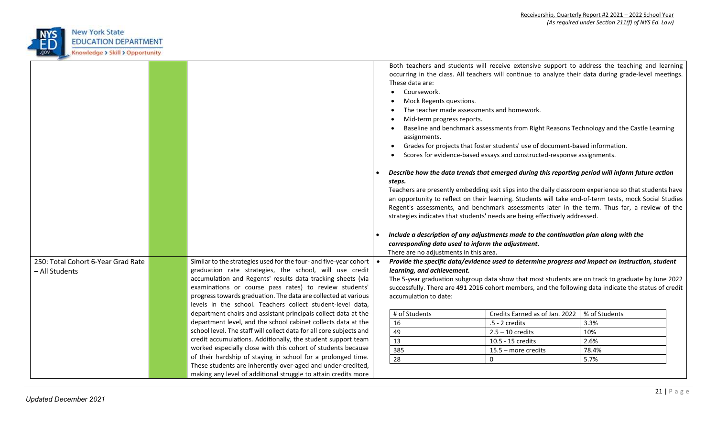

|                                    |                                                                                                                        |                                                                                                            |                                                                                          | Both teachers and students will receive extensive support to address the teaching and learning                                                                                                             |
|------------------------------------|------------------------------------------------------------------------------------------------------------------------|------------------------------------------------------------------------------------------------------------|------------------------------------------------------------------------------------------|------------------------------------------------------------------------------------------------------------------------------------------------------------------------------------------------------------|
|                                    |                                                                                                                        | These data are:                                                                                            |                                                                                          | occurring in the class. All teachers will continue to analyze their data during grade-level meetings.                                                                                                      |
|                                    |                                                                                                                        | Coursework.                                                                                                |                                                                                          |                                                                                                                                                                                                            |
|                                    |                                                                                                                        | Mock Regents questions.                                                                                    |                                                                                          |                                                                                                                                                                                                            |
|                                    |                                                                                                                        | The teacher made assessments and homework.                                                                 |                                                                                          |                                                                                                                                                                                                            |
|                                    |                                                                                                                        | Mid-term progress reports.                                                                                 |                                                                                          |                                                                                                                                                                                                            |
|                                    |                                                                                                                        |                                                                                                            | Baseline and benchmark assessments from Right Reasons Technology and the Castle Learning |                                                                                                                                                                                                            |
|                                    |                                                                                                                        | assignments.                                                                                               |                                                                                          |                                                                                                                                                                                                            |
|                                    |                                                                                                                        |                                                                                                            | Grades for projects that foster students' use of document-based information.             |                                                                                                                                                                                                            |
|                                    |                                                                                                                        |                                                                                                            | Scores for evidence-based essays and constructed-response assignments.                   |                                                                                                                                                                                                            |
|                                    |                                                                                                                        | Describe how the data trends that emerged during this reporting period will inform future action<br>steps. |                                                                                          |                                                                                                                                                                                                            |
|                                    |                                                                                                                        |                                                                                                            |                                                                                          | Teachers are presently embedding exit slips into the daily classroom experience so that students have                                                                                                      |
|                                    |                                                                                                                        |                                                                                                            |                                                                                          | an opportunity to reflect on their learning. Students will take end-of-term tests, mock Social Studies                                                                                                     |
|                                    |                                                                                                                        |                                                                                                            |                                                                                          | Regent's assessments, and benchmark assessments later in the term. Thus far, a review of the                                                                                                               |
|                                    |                                                                                                                        | strategies indicates that students' needs are being effectively addressed.                                 |                                                                                          |                                                                                                                                                                                                            |
|                                    |                                                                                                                        |                                                                                                            |                                                                                          |                                                                                                                                                                                                            |
|                                    |                                                                                                                        | Include a description of any adjustments made to the continuation plan along with the                      |                                                                                          |                                                                                                                                                                                                            |
|                                    |                                                                                                                        | corresponding data used to inform the adjustment.                                                          |                                                                                          |                                                                                                                                                                                                            |
|                                    |                                                                                                                        | There are no adjustments in this area.                                                                     |                                                                                          |                                                                                                                                                                                                            |
| 250: Total Cohort 6-Year Grad Rate | Similar to the strategies used for the four- and five-year cohort                                                      | Provide the specific data/evidence used to determine progress and impact on instruction, student           |                                                                                          |                                                                                                                                                                                                            |
| - All Students                     | graduation rate strategies, the school, will use credit<br>accumulation and Regents' results data tracking sheets (via | learning, and achievement.                                                                                 |                                                                                          |                                                                                                                                                                                                            |
|                                    | examinations or course pass rates) to review students'                                                                 |                                                                                                            |                                                                                          | The 5-year graduation subgroup data show that most students are on track to graduate by June 2022<br>successfully. There are 491 2016 cohort members, and the following data indicate the status of credit |
|                                    | progress towards graduation. The data are collected at various                                                         | accumulation to date:                                                                                      |                                                                                          |                                                                                                                                                                                                            |
|                                    | levels in the school. Teachers collect student-level data,                                                             |                                                                                                            |                                                                                          |                                                                                                                                                                                                            |
|                                    | department chairs and assistant principals collect data at the                                                         | # of Students                                                                                              | Credits Earned as of Jan. 2022                                                           | % of Students                                                                                                                                                                                              |
|                                    | department level, and the school cabinet collects data at the                                                          | 16                                                                                                         | $.5 - 2$ credits                                                                         | 3.3%                                                                                                                                                                                                       |
|                                    | school level. The staff will collect data for all core subjects and                                                    | 49                                                                                                         | $2.5 - 10$ credits                                                                       | 10%                                                                                                                                                                                                        |
|                                    | credit accumulations. Additionally, the student support team                                                           | 13                                                                                                         | 10.5 - 15 credits                                                                        | 2.6%                                                                                                                                                                                                       |
|                                    | worked especially close with this cohort of students because                                                           | 385                                                                                                        | 15.5 - more credits                                                                      | 78.4%                                                                                                                                                                                                      |
|                                    | of their hardship of staying in school for a prolonged time.                                                           | 28                                                                                                         | $\mathbf 0$                                                                              | 5.7%                                                                                                                                                                                                       |
|                                    | These students are inherently over-aged and under-credited,                                                            |                                                                                                            |                                                                                          |                                                                                                                                                                                                            |
|                                    | making any level of additional struggle to attain credits more                                                         |                                                                                                            |                                                                                          |                                                                                                                                                                                                            |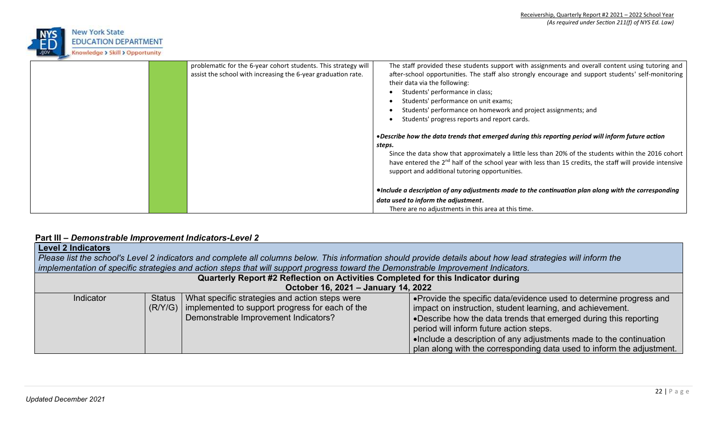

|  | problematic for the 6-year cohort students. This strategy will | The staff provided these students support with assignments and overall content using tutoring and                                                                                                                                                                              |
|--|----------------------------------------------------------------|--------------------------------------------------------------------------------------------------------------------------------------------------------------------------------------------------------------------------------------------------------------------------------|
|  |                                                                |                                                                                                                                                                                                                                                                                |
|  | assist the school with increasing the 6-year graduation rate.  | after-school opportunities. The staff also strongly encourage and support students' self-monitoring                                                                                                                                                                            |
|  |                                                                | their data via the following:                                                                                                                                                                                                                                                  |
|  |                                                                | Students' performance in class;                                                                                                                                                                                                                                                |
|  |                                                                | Students' performance on unit exams;                                                                                                                                                                                                                                           |
|  |                                                                | Students' performance on homework and project assignments; and                                                                                                                                                                                                                 |
|  |                                                                | Students' progress reports and report cards.                                                                                                                                                                                                                                   |
|  |                                                                | • Describe how the data trends that emerged during this reporting period will inform future action<br>steps.                                                                                                                                                                   |
|  |                                                                | Since the data show that approximately a little less than 20% of the students within the 2016 cohort<br>have entered the 2 <sup>nd</sup> half of the school year with less than 15 credits, the staff will provide intensive<br>support and additional tutoring opportunities. |
|  |                                                                | •Include a description of any adjustments made to the continuation plan along with the corresponding                                                                                                                                                                           |
|  |                                                                | data used to inform the adjustment.                                                                                                                                                                                                                                            |
|  |                                                                | There are no adjustments in this area at this time.                                                                                                                                                                                                                            |

# **Part III –** *Demonstrable Improvement Indicators-Level 2*

| <b>Level 2 Indicators</b> |                                                                                                                                                               |                                                                                                                                   |                                                                       |  |  |  |  |  |
|---------------------------|---------------------------------------------------------------------------------------------------------------------------------------------------------------|-----------------------------------------------------------------------------------------------------------------------------------|-----------------------------------------------------------------------|--|--|--|--|--|
|                           | Please list the school's Level 2 indicators and complete all columns below. This information should provide details about how lead strategies will inform the |                                                                                                                                   |                                                                       |  |  |  |  |  |
|                           |                                                                                                                                                               | implementation of specific strategies and action steps that will support progress toward the Demonstrable Improvement Indicators. |                                                                       |  |  |  |  |  |
|                           | Quarterly Report #2 Reflection on Activities Completed for this Indicator during                                                                              |                                                                                                                                   |                                                                       |  |  |  |  |  |
|                           |                                                                                                                                                               | October 16, 2021 - January 14, 2022                                                                                               |                                                                       |  |  |  |  |  |
| Indicator                 |                                                                                                                                                               | Status   What specific strategies and action steps were                                                                           | • Provide the specific data/evidence used to determine progress and   |  |  |  |  |  |
|                           |                                                                                                                                                               | (R/Y/G)   implemented to support progress for each of the                                                                         | impact on instruction, student learning, and achievement.             |  |  |  |  |  |
|                           |                                                                                                                                                               | Demonstrable Improvement Indicators?                                                                                              | •Describe how the data trends that emerged during this reporting      |  |  |  |  |  |
|                           |                                                                                                                                                               |                                                                                                                                   | period will inform future action steps.                               |  |  |  |  |  |
|                           |                                                                                                                                                               |                                                                                                                                   | •Include a description of any adjustments made to the continuation    |  |  |  |  |  |
|                           |                                                                                                                                                               |                                                                                                                                   | plan along with the corresponding data used to inform the adjustment. |  |  |  |  |  |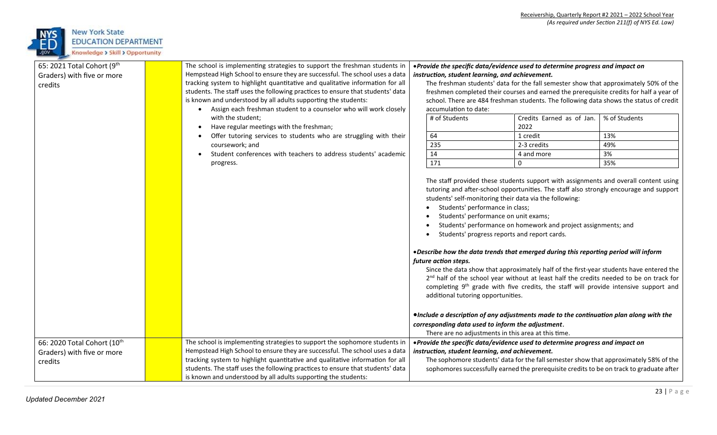

| 65: 2021 Total Cohort (9th  |  | The school is implementing strategies to support the freshman students in      | • Provide the specific data/evidence used to determine progress and impact on                                                                                                                                                                                                                                                                                |                                                                                                                                                                                                                                                                                                                                                                                                                                                                                                                                                                                                                                                                                                                                           |                                                                                          |               |  |
|-----------------------------|--|--------------------------------------------------------------------------------|--------------------------------------------------------------------------------------------------------------------------------------------------------------------------------------------------------------------------------------------------------------------------------------------------------------------------------------------------------------|-------------------------------------------------------------------------------------------------------------------------------------------------------------------------------------------------------------------------------------------------------------------------------------------------------------------------------------------------------------------------------------------------------------------------------------------------------------------------------------------------------------------------------------------------------------------------------------------------------------------------------------------------------------------------------------------------------------------------------------------|------------------------------------------------------------------------------------------|---------------|--|
| Graders) with five or more  |  | Hempstead High School to ensure they are successful. The school uses a data    | instruction, student learning, and achievement.                                                                                                                                                                                                                                                                                                              |                                                                                                                                                                                                                                                                                                                                                                                                                                                                                                                                                                                                                                                                                                                                           |                                                                                          |               |  |
| credits                     |  | tracking system to highlight quantitative and qualitative information for all  | The freshman students' data for the fall semester show that approximately 50% of the<br>freshmen completed their courses and earned the prerequisite credits for half a year of                                                                                                                                                                              |                                                                                                                                                                                                                                                                                                                                                                                                                                                                                                                                                                                                                                                                                                                                           |                                                                                          |               |  |
|                             |  | students. The staff uses the following practices to ensure that students' data |                                                                                                                                                                                                                                                                                                                                                              |                                                                                                                                                                                                                                                                                                                                                                                                                                                                                                                                                                                                                                                                                                                                           |                                                                                          |               |  |
|                             |  | is known and understood by all adults supporting the students:                 |                                                                                                                                                                                                                                                                                                                                                              |                                                                                                                                                                                                                                                                                                                                                                                                                                                                                                                                                                                                                                                                                                                                           | school. There are 484 freshman students. The following data shows the status of credit   |               |  |
|                             |  | Assign each freshman student to a counselor who will work closely              |                                                                                                                                                                                                                                                                                                                                                              | accumulation to date:                                                                                                                                                                                                                                                                                                                                                                                                                                                                                                                                                                                                                                                                                                                     |                                                                                          |               |  |
|                             |  | with the student;                                                              |                                                                                                                                                                                                                                                                                                                                                              | # of Students                                                                                                                                                                                                                                                                                                                                                                                                                                                                                                                                                                                                                                                                                                                             | Credits Earned as of Jan.                                                                | % of Students |  |
|                             |  | Have regular meetings with the freshman;                                       |                                                                                                                                                                                                                                                                                                                                                              |                                                                                                                                                                                                                                                                                                                                                                                                                                                                                                                                                                                                                                                                                                                                           | 2022                                                                                     |               |  |
|                             |  | Offer tutoring services to students who are struggling with their              |                                                                                                                                                                                                                                                                                                                                                              | 64                                                                                                                                                                                                                                                                                                                                                                                                                                                                                                                                                                                                                                                                                                                                        | 1 credit                                                                                 | 13%           |  |
|                             |  | coursework; and                                                                |                                                                                                                                                                                                                                                                                                                                                              | 235                                                                                                                                                                                                                                                                                                                                                                                                                                                                                                                                                                                                                                                                                                                                       | 2-3 credits                                                                              | 49%           |  |
|                             |  | Student conferences with teachers to address students' academic                |                                                                                                                                                                                                                                                                                                                                                              | 14                                                                                                                                                                                                                                                                                                                                                                                                                                                                                                                                                                                                                                                                                                                                        | 4 and more                                                                               | 3%            |  |
|                             |  | progress.                                                                      |                                                                                                                                                                                                                                                                                                                                                              | 171                                                                                                                                                                                                                                                                                                                                                                                                                                                                                                                                                                                                                                                                                                                                       | $\Omega$                                                                                 | 35%           |  |
|                             |  |                                                                                | students' self-monitoring their data via the following:<br>Students' performance in class;<br>Students' performance on unit exams;<br>Students' progress reports and report cards.<br>future action steps.<br>additional tutoring opportunities.<br>corresponding data used to inform the adjustment.<br>There are no adjustments in this area at this time. | The staff provided these students support with assignments and overall content using<br>tutoring and after-school opportunities. The staff also strongly encourage and support<br>Students' performance on homework and project assignments; and<br>. Describe how the data trends that emerged during this reporting period will inform<br>Since the data show that approximately half of the first-year students have entered the<br>2 <sup>nd</sup> half of the school year without at least half the credits needed to be on track for<br>completing 9 <sup>th</sup> grade with five credits, the staff will provide intensive support and<br>. Include a description of any adjustments made to the continuation plan along with the |                                                                                          |               |  |
| 66: 2020 Total Cohort (10th |  | The school is implementing strategies to support the sophomore students in     |                                                                                                                                                                                                                                                                                                                                                              |                                                                                                                                                                                                                                                                                                                                                                                                                                                                                                                                                                                                                                                                                                                                           | • Provide the specific data/evidence used to determine progress and impact on            |               |  |
| Graders) with five or more  |  | Hempstead High School to ensure they are successful. The school uses a data    |                                                                                                                                                                                                                                                                                                                                                              | instruction, student learning, and achievement.                                                                                                                                                                                                                                                                                                                                                                                                                                                                                                                                                                                                                                                                                           |                                                                                          |               |  |
| credits                     |  | tracking system to highlight quantitative and qualitative information for all  |                                                                                                                                                                                                                                                                                                                                                              |                                                                                                                                                                                                                                                                                                                                                                                                                                                                                                                                                                                                                                                                                                                                           | The sophomore students' data for the fall semester show that approximately 58% of the    |               |  |
|                             |  | students. The staff uses the following practices to ensure that students' data |                                                                                                                                                                                                                                                                                                                                                              |                                                                                                                                                                                                                                                                                                                                                                                                                                                                                                                                                                                                                                                                                                                                           | sophomores successfully earned the prerequisite credits to be on track to graduate after |               |  |
|                             |  | is known and understood by all adults supporting the students:                 |                                                                                                                                                                                                                                                                                                                                                              |                                                                                                                                                                                                                                                                                                                                                                                                                                                                                                                                                                                                                                                                                                                                           |                                                                                          |               |  |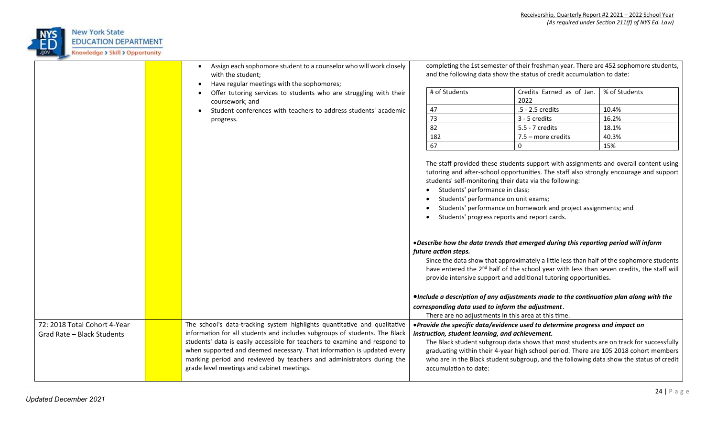

|                                                            | Assign each sophomore student to a counselor who will work closely<br>with the student;<br>Have regular meetings with the sophomores;                                                                                                                                                                                                                                                                                                  |                                                                                                                                                                                                       | completing the 1st semester of their freshman year. There are 452 sophomore students,<br>and the following data show the status of credit accumulation to date:                                                                                                                                                                                                                                                                                                                                                                                                                                                                                                                                                                                                                                                                                                                                                                                                                                                                        |               |
|------------------------------------------------------------|----------------------------------------------------------------------------------------------------------------------------------------------------------------------------------------------------------------------------------------------------------------------------------------------------------------------------------------------------------------------------------------------------------------------------------------|-------------------------------------------------------------------------------------------------------------------------------------------------------------------------------------------------------|----------------------------------------------------------------------------------------------------------------------------------------------------------------------------------------------------------------------------------------------------------------------------------------------------------------------------------------------------------------------------------------------------------------------------------------------------------------------------------------------------------------------------------------------------------------------------------------------------------------------------------------------------------------------------------------------------------------------------------------------------------------------------------------------------------------------------------------------------------------------------------------------------------------------------------------------------------------------------------------------------------------------------------------|---------------|
|                                                            | Offer tutoring services to students who are struggling with their<br>coursework; and                                                                                                                                                                                                                                                                                                                                                   | # of Students                                                                                                                                                                                         | Credits Earned as of Jan.<br>2022                                                                                                                                                                                                                                                                                                                                                                                                                                                                                                                                                                                                                                                                                                                                                                                                                                                                                                                                                                                                      | % of Students |
|                                                            | Student conferences with teachers to address students' academic                                                                                                                                                                                                                                                                                                                                                                        | 47                                                                                                                                                                                                    | .5 - 2.5 credits                                                                                                                                                                                                                                                                                                                                                                                                                                                                                                                                                                                                                                                                                                                                                                                                                                                                                                                                                                                                                       | 10.4%         |
|                                                            | progress.                                                                                                                                                                                                                                                                                                                                                                                                                              | 73                                                                                                                                                                                                    | 3 - 5 credits                                                                                                                                                                                                                                                                                                                                                                                                                                                                                                                                                                                                                                                                                                                                                                                                                                                                                                                                                                                                                          | 16.2%         |
|                                                            |                                                                                                                                                                                                                                                                                                                                                                                                                                        | 82                                                                                                                                                                                                    | 5.5 - 7 credits                                                                                                                                                                                                                                                                                                                                                                                                                                                                                                                                                                                                                                                                                                                                                                                                                                                                                                                                                                                                                        | 18.1%         |
|                                                            |                                                                                                                                                                                                                                                                                                                                                                                                                                        | 182                                                                                                                                                                                                   | 7.5 - more credits                                                                                                                                                                                                                                                                                                                                                                                                                                                                                                                                                                                                                                                                                                                                                                                                                                                                                                                                                                                                                     | 40.3%         |
|                                                            |                                                                                                                                                                                                                                                                                                                                                                                                                                        | 67                                                                                                                                                                                                    | $\mathbf{0}$                                                                                                                                                                                                                                                                                                                                                                                                                                                                                                                                                                                                                                                                                                                                                                                                                                                                                                                                                                                                                           | 15%           |
| 72: 2018 Total Cohort 4-Year<br>Grad Rate - Black Students | The school's data-tracking system highlights quantitative and qualitative<br>information for all students and includes subgroups of students. The Black<br>students' data is easily accessible for teachers to examine and respond to<br>when supported and deemed necessary. That information is updated every<br>marking period and reviewed by teachers and administrators during the<br>grade level meetings and cabinet meetings. | Students' performance in class;<br>$\bullet$<br>future action steps.<br>corresponding data used to inform the adjustment.<br>instruction, student learning, and achievement.<br>accumulation to date: | Students' performance on unit exams;<br>Students' performance on homework and project assignments; and<br>Students' progress reports and report cards.<br>. Describe how the data trends that emerged during this reporting period will inform<br>Since the data show that approximately a little less than half of the sophomore students<br>have entered the 2 <sup>nd</sup> half of the school year with less than seven credits, the staff will<br>provide intensive support and additional tutoring opportunities.<br>•Include a description of any adjustments made to the continuation plan along with the<br>There are no adjustments in this area at this time.<br>• Provide the specific data/evidence used to determine progress and impact on<br>The Black student subgroup data shows that most students are on track for successfully<br>graduating within their 4-year high school period. There are 105 2018 cohort members<br>who are in the Black student subgroup, and the following data show the status of credit |               |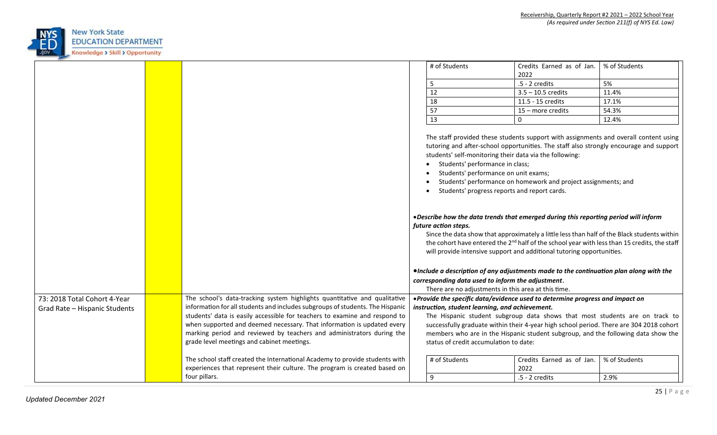

|                               |                                                                               | # of Students                                                                                                                                                          | Credits Earned as of Jan.                                                                                                                                                                                                                                                                                                                                                                                                                                           | % of Students |  |  |
|-------------------------------|-------------------------------------------------------------------------------|------------------------------------------------------------------------------------------------------------------------------------------------------------------------|---------------------------------------------------------------------------------------------------------------------------------------------------------------------------------------------------------------------------------------------------------------------------------------------------------------------------------------------------------------------------------------------------------------------------------------------------------------------|---------------|--|--|
|                               |                                                                               | 5                                                                                                                                                                      | 2022<br>.5 - 2 credits                                                                                                                                                                                                                                                                                                                                                                                                                                              | 5%            |  |  |
|                               |                                                                               | 12                                                                                                                                                                     | $3.5 - 10.5$ credits                                                                                                                                                                                                                                                                                                                                                                                                                                                | 11.4%         |  |  |
|                               |                                                                               | 18                                                                                                                                                                     | 11.5 - 15 credits                                                                                                                                                                                                                                                                                                                                                                                                                                                   | 17.1%         |  |  |
|                               |                                                                               | 57                                                                                                                                                                     | 15 - more credits                                                                                                                                                                                                                                                                                                                                                                                                                                                   | 54.3%         |  |  |
|                               |                                                                               | 13                                                                                                                                                                     | 0                                                                                                                                                                                                                                                                                                                                                                                                                                                                   | 12.4%         |  |  |
|                               |                                                                               |                                                                                                                                                                        |                                                                                                                                                                                                                                                                                                                                                                                                                                                                     |               |  |  |
|                               |                                                                               | Students' performance in class;<br>$\bullet$                                                                                                                           | The staff provided these students support with assignments and overall content using<br>tutoring and after-school opportunities. The staff also strongly encourage and support<br>students' self-monitoring their data via the following:<br>Students' performance on unit exams;<br>Students' performance on homework and project assignments; and<br>Students' progress reports and report cards.                                                                 |               |  |  |
|                               |                                                                               | future action steps.                                                                                                                                                   | . Describe how the data trends that emerged during this reporting period will inform<br>Since the data show that approximately a little less than half of the Black students within<br>the cohort have entered the 2 <sup>nd</sup> half of the school year with less than 15 credits, the staff<br>will provide intensive support and additional tutoring opportunities.<br>. Include a description of any adjustments made to the continuation plan along with the |               |  |  |
|                               |                                                                               |                                                                                                                                                                        |                                                                                                                                                                                                                                                                                                                                                                                                                                                                     |               |  |  |
|                               |                                                                               | corresponding data used to inform the adjustment.                                                                                                                      | There are no adjustments in this area at this time.                                                                                                                                                                                                                                                                                                                                                                                                                 |               |  |  |
| 73: 2018 Total Cohort 4-Year  | The school's data-tracking system highlights quantitative and qualitative     |                                                                                                                                                                        | . Provide the specific data/evidence used to determine progress and impact on                                                                                                                                                                                                                                                                                                                                                                                       |               |  |  |
| Grad Rate - Hispanic Students | information for all students and includes subgroups of students. The Hispanic | instruction, student learning, and achievement.                                                                                                                        |                                                                                                                                                                                                                                                                                                                                                                                                                                                                     |               |  |  |
|                               | students' data is easily accessible for teachers to examine and respond to    |                                                                                                                                                                        |                                                                                                                                                                                                                                                                                                                                                                                                                                                                     |               |  |  |
|                               | when supported and deemed necessary. That information is updated every        | The Hispanic student subgroup data shows that most students are on track to<br>successfully graduate within their 4-year high school period. There are 304 2018 cohort |                                                                                                                                                                                                                                                                                                                                                                                                                                                                     |               |  |  |
|                               | marking period and reviewed by teachers and administrators during the         | members who are in the Hispanic student subgroup, and the following data show the                                                                                      |                                                                                                                                                                                                                                                                                                                                                                                                                                                                     |               |  |  |
|                               | grade level meetings and cabinet meetings.                                    | status of credit accumulation to date:                                                                                                                                 |                                                                                                                                                                                                                                                                                                                                                                                                                                                                     |               |  |  |
|                               | The school staff created the International Academy to provide students with   | # of Students                                                                                                                                                          | Credits Earned as of Jan.                                                                                                                                                                                                                                                                                                                                                                                                                                           | % of Students |  |  |
|                               | experiences that represent their culture. The program is created based on     |                                                                                                                                                                        | 2022                                                                                                                                                                                                                                                                                                                                                                                                                                                                |               |  |  |
|                               | four pillars.                                                                 | 9                                                                                                                                                                      | $.5 - 2$ credits                                                                                                                                                                                                                                                                                                                                                                                                                                                    | 2.9%          |  |  |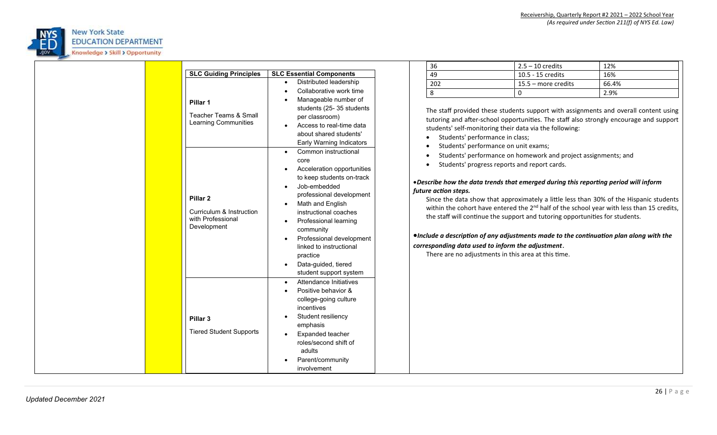

|                                                                                                                                                                                       |                                                                                                                                                                                                                                                                                                                  | 36                                                                                                                                                                                                                                                                                                                                                                                                                                                                                                                                                                                                                                                                                                               | $2.5 - 10$ credits  | 12%   |  |  |
|---------------------------------------------------------------------------------------------------------------------------------------------------------------------------------------|------------------------------------------------------------------------------------------------------------------------------------------------------------------------------------------------------------------------------------------------------------------------------------------------------------------|------------------------------------------------------------------------------------------------------------------------------------------------------------------------------------------------------------------------------------------------------------------------------------------------------------------------------------------------------------------------------------------------------------------------------------------------------------------------------------------------------------------------------------------------------------------------------------------------------------------------------------------------------------------------------------------------------------------|---------------------|-------|--|--|
| <b>SLC Guiding Principles</b>                                                                                                                                                         | <b>SLC Essential Components</b>                                                                                                                                                                                                                                                                                  | 49                                                                                                                                                                                                                                                                                                                                                                                                                                                                                                                                                                                                                                                                                                               | 10.5 - 15 credits   | 16%   |  |  |
|                                                                                                                                                                                       | Distributed leadership                                                                                                                                                                                                                                                                                           | 202                                                                                                                                                                                                                                                                                                                                                                                                                                                                                                                                                                                                                                                                                                              | 15.5 - more credits | 66.4% |  |  |
|                                                                                                                                                                                       | Collaborative work time                                                                                                                                                                                                                                                                                          | 8                                                                                                                                                                                                                                                                                                                                                                                                                                                                                                                                                                                                                                                                                                                | $\mathbf{0}$        | 2.9%  |  |  |
| Pillar 1<br><b>Teacher Teams &amp; Small</b><br>Learning Communities<br>$\bullet$<br>Pillar <sub>2</sub><br>Curriculum & Instruction<br>with Professional<br>$\bullet$<br>Development | Manageable number of<br>students (25-35 students<br>per classroom)<br>Access to real-time data<br>about shared students'<br>Early Warning Indicators                                                                                                                                                             | The staff provided these students support with assignments and overall content using<br>tutoring and after-school opportunities. The staff also strongly encourage and support<br>students' self-monitoring their data via the following:<br>Students' performance in class;<br>Students' performance on unit exams;                                                                                                                                                                                                                                                                                                                                                                                             |                     |       |  |  |
|                                                                                                                                                                                       | Common instructional<br>core<br>Acceleration opportunities<br>to keep students on-track<br>Job-embedded<br>professional development<br>Math and English<br>instructional coaches<br>Professional learning<br>community<br>Professional development<br>linked to instructional<br>practice<br>Data-guided, tiered | Students' performance on homework and project assignments; and<br>Students' progress reports and report cards.<br>. Describe how the data trends that emerged during this reporting period will inform<br>future action steps.<br>Since the data show that approximately a little less than 30% of the Hispanic students<br>within the cohort have entered the $2^{nd}$ half of the school year with less than 15 credits,<br>the staff will continue the support and tutoring opportunities for students.<br>•Include a description of any adjustments made to the continuation plan along with the<br>corresponding data used to inform the adjustment.<br>There are no adjustments in this area at this time. |                     |       |  |  |
| Pillar <sub>3</sub><br><b>Tiered Student Supports</b>                                                                                                                                 | student support system<br>Attendance Initiatives<br>Positive behavior &<br>college-going culture<br>incentives<br>Student resiliency<br>$\bullet$<br>emphasis<br><b>Expanded teacher</b><br>roles/second shift of<br>adults<br>Parent/community<br>involvement                                                   |                                                                                                                                                                                                                                                                                                                                                                                                                                                                                                                                                                                                                                                                                                                  |                     |       |  |  |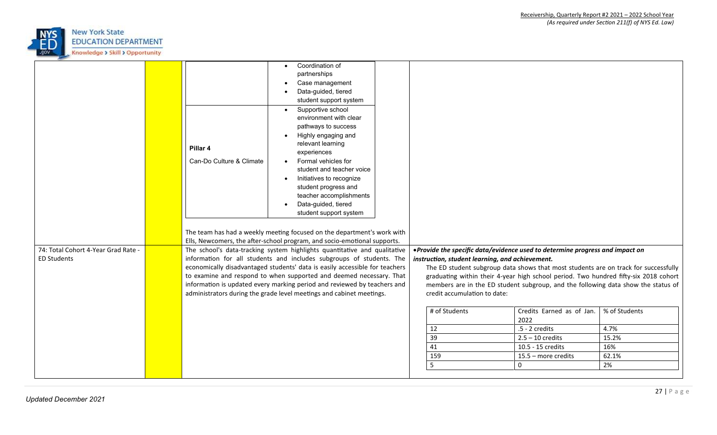

| 74: Total Cohort 4-Year Grad Rate -<br>The school's data-tracking system highlights quantitative and qualitative<br>. Provide the specific data/evidence used to determine progress and impact on<br>information for all students and includes subgroups of students. The<br><b>ED Students</b><br>instruction, student learning, and achievement.<br>economically disadvantaged students' data is easily accessible for teachers<br>The ED student subgroup data shows that most students are on track for successfully<br>to examine and respond to when supported and deemed necessary. That<br>graduating within their 4-year high school period. Two hundred fifty-six 2018 cohort<br>information is updated every marking period and reviewed by teachers and<br>members are in the ED student subgroup, and the following data show the status of<br>administrators during the grade level meetings and cabinet meetings.<br>credit accumulation to date:<br># of Students<br>% of Students<br>Credits Earned as of Jan.<br>2022 |  | Pillar 4<br>Can-Do Culture & Climate | Coordination of<br>$\bullet$<br>partnerships<br>Case management<br>Data-guided, tiered<br>student support system<br>Supportive school<br>$\bullet$<br>environment with clear<br>pathways to success<br>Highly engaging and<br>relevant learning<br>experiences<br>Formal vehicles for<br>student and teacher voice<br>Initiatives to recognize<br>student progress and<br>teacher accomplishments<br>Data-guided, tiered<br>student support system<br>The team has had a weekly meeting focused on the department's work with<br>Ells, Newcomers, the after-school program, and socio-emotional supports. |    |                |      |
|-----------------------------------------------------------------------------------------------------------------------------------------------------------------------------------------------------------------------------------------------------------------------------------------------------------------------------------------------------------------------------------------------------------------------------------------------------------------------------------------------------------------------------------------------------------------------------------------------------------------------------------------------------------------------------------------------------------------------------------------------------------------------------------------------------------------------------------------------------------------------------------------------------------------------------------------------------------------------------------------------------------------------------------------|--|--------------------------------------|-----------------------------------------------------------------------------------------------------------------------------------------------------------------------------------------------------------------------------------------------------------------------------------------------------------------------------------------------------------------------------------------------------------------------------------------------------------------------------------------------------------------------------------------------------------------------------------------------------------|----|----------------|------|
|                                                                                                                                                                                                                                                                                                                                                                                                                                                                                                                                                                                                                                                                                                                                                                                                                                                                                                                                                                                                                                         |  |                                      |                                                                                                                                                                                                                                                                                                                                                                                                                                                                                                                                                                                                           |    |                |      |
|                                                                                                                                                                                                                                                                                                                                                                                                                                                                                                                                                                                                                                                                                                                                                                                                                                                                                                                                                                                                                                         |  |                                      |                                                                                                                                                                                                                                                                                                                                                                                                                                                                                                                                                                                                           |    |                |      |
|                                                                                                                                                                                                                                                                                                                                                                                                                                                                                                                                                                                                                                                                                                                                                                                                                                                                                                                                                                                                                                         |  |                                      |                                                                                                                                                                                                                                                                                                                                                                                                                                                                                                                                                                                                           |    |                |      |
|                                                                                                                                                                                                                                                                                                                                                                                                                                                                                                                                                                                                                                                                                                                                                                                                                                                                                                                                                                                                                                         |  |                                      |                                                                                                                                                                                                                                                                                                                                                                                                                                                                                                                                                                                                           |    |                |      |
|                                                                                                                                                                                                                                                                                                                                                                                                                                                                                                                                                                                                                                                                                                                                                                                                                                                                                                                                                                                                                                         |  |                                      |                                                                                                                                                                                                                                                                                                                                                                                                                                                                                                                                                                                                           |    |                |      |
|                                                                                                                                                                                                                                                                                                                                                                                                                                                                                                                                                                                                                                                                                                                                                                                                                                                                                                                                                                                                                                         |  |                                      |                                                                                                                                                                                                                                                                                                                                                                                                                                                                                                                                                                                                           |    |                |      |
|                                                                                                                                                                                                                                                                                                                                                                                                                                                                                                                                                                                                                                                                                                                                                                                                                                                                                                                                                                                                                                         |  |                                      |                                                                                                                                                                                                                                                                                                                                                                                                                                                                                                                                                                                                           |    |                |      |
|                                                                                                                                                                                                                                                                                                                                                                                                                                                                                                                                                                                                                                                                                                                                                                                                                                                                                                                                                                                                                                         |  |                                      |                                                                                                                                                                                                                                                                                                                                                                                                                                                                                                                                                                                                           | 12 | .5 - 2 credits | 4.7% |
| 39<br>$2.5 - 10$ credits<br>15.2%                                                                                                                                                                                                                                                                                                                                                                                                                                                                                                                                                                                                                                                                                                                                                                                                                                                                                                                                                                                                       |  |                                      |                                                                                                                                                                                                                                                                                                                                                                                                                                                                                                                                                                                                           |    |                |      |
| 41<br>10.5 - 15 credits<br>16%                                                                                                                                                                                                                                                                                                                                                                                                                                                                                                                                                                                                                                                                                                                                                                                                                                                                                                                                                                                                          |  |                                      |                                                                                                                                                                                                                                                                                                                                                                                                                                                                                                                                                                                                           |    |                |      |
| 159<br>15.5 - more credits<br>62.1%                                                                                                                                                                                                                                                                                                                                                                                                                                                                                                                                                                                                                                                                                                                                                                                                                                                                                                                                                                                                     |  |                                      |                                                                                                                                                                                                                                                                                                                                                                                                                                                                                                                                                                                                           |    |                |      |
| 5<br>2%<br>0                                                                                                                                                                                                                                                                                                                                                                                                                                                                                                                                                                                                                                                                                                                                                                                                                                                                                                                                                                                                                            |  |                                      |                                                                                                                                                                                                                                                                                                                                                                                                                                                                                                                                                                                                           |    |                |      |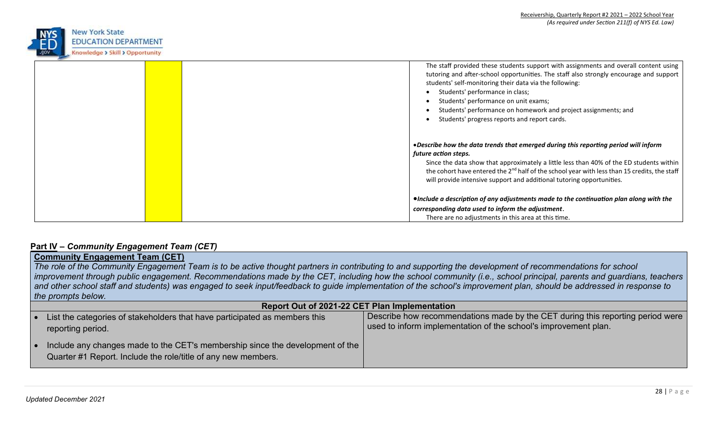

|  | The staff provided these students support with assignments and overall content using<br>tutoring and after-school opportunities. The staff also strongly encourage and support<br>students' self-monitoring their data via the following:<br>Students' performance in class;                                                                                                                 |
|--|----------------------------------------------------------------------------------------------------------------------------------------------------------------------------------------------------------------------------------------------------------------------------------------------------------------------------------------------------------------------------------------------|
|  | Students' performance on unit exams;                                                                                                                                                                                                                                                                                                                                                         |
|  | Students' performance on homework and project assignments; and                                                                                                                                                                                                                                                                                                                               |
|  | Students' progress reports and report cards.                                                                                                                                                                                                                                                                                                                                                 |
|  | • Describe how the data trends that emerged during this reporting period will inform<br>future action steps.<br>Since the data show that approximately a little less than 40% of the ED students within<br>the cohort have entered the 2 <sup>nd</sup> half of the school year with less than 15 credits, the staff<br>will provide intensive support and additional tutoring opportunities. |
|  | ●Include a description of any adjustments made to the continuation plan along with the                                                                                                                                                                                                                                                                                                       |
|  | corresponding data used to inform the adjustment.                                                                                                                                                                                                                                                                                                                                            |
|  | There are no adjustments in this area at this time.                                                                                                                                                                                                                                                                                                                                          |

## **Part IV –** *Community Engagement Team (CET)*

# **Community Engagement Team (CET)**

*The role of the Community Engagement Team is to be active thought partners in contributing to and supporting the development of recommendations for school*  improvement through public engagement. Recommendations made by the CET, including how the school community (i.e., school principal, parents and guardians, teachers and other school staff and students) was engaged to seek input/feedback to guide implementation of the school's improvement plan, should be addressed in response to *the prompts below.*

|           | <b>Report Out of 2021-22 CET Plan Implementation</b>                                                                                           |                                                                                                                                                   |  |  |  |  |
|-----------|------------------------------------------------------------------------------------------------------------------------------------------------|---------------------------------------------------------------------------------------------------------------------------------------------------|--|--|--|--|
| $\bullet$ | List the categories of stakeholders that have participated as members this<br>reporting period.                                                | Describe how recommendations made by the CET during this reporting period were<br>used to inform implementation of the school's improvement plan. |  |  |  |  |
|           | Include any changes made to the CET's membership since the development of the<br>Quarter #1 Report. Include the role/title of any new members. |                                                                                                                                                   |  |  |  |  |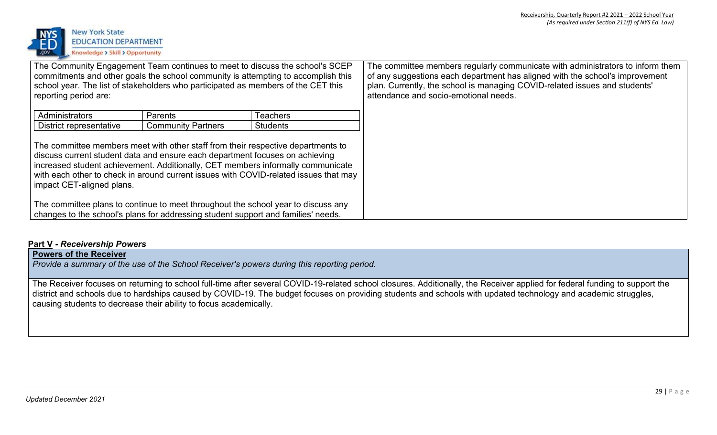

| The Community Engagement Team continues to meet to discuss the school's SCEP<br>commitments and other goals the school community is attempting to accomplish this<br>school year. The list of stakeholders who participated as members of the CET this<br>reporting period are: |                                                                                                                                                                        |                                                                                                                                                                         | The committee members regularly communicate with administrators to inform them<br>of any suggestions each department has aligned with the school's improvement<br>plan. Currently, the school is managing COVID-related issues and students'<br>attendance and socio-emotional needs. |
|---------------------------------------------------------------------------------------------------------------------------------------------------------------------------------------------------------------------------------------------------------------------------------|------------------------------------------------------------------------------------------------------------------------------------------------------------------------|-------------------------------------------------------------------------------------------------------------------------------------------------------------------------|---------------------------------------------------------------------------------------------------------------------------------------------------------------------------------------------------------------------------------------------------------------------------------------|
| Administrators<br>Parents<br>Teachers                                                                                                                                                                                                                                           |                                                                                                                                                                        |                                                                                                                                                                         |                                                                                                                                                                                                                                                                                       |
| District representative<br><b>Community Partners</b><br><b>Students</b>                                                                                                                                                                                                         |                                                                                                                                                                        |                                                                                                                                                                         |                                                                                                                                                                                                                                                                                       |
| impact CET-aligned plans.                                                                                                                                                                                                                                                       | The committee members meet with other staff from their respective departments to<br>discuss current student data and ensure each department focuses on achieving       | increased student achievement. Additionally, CET members informally communicate<br>with each other to check in around current issues with COVID-related issues that may |                                                                                                                                                                                                                                                                                       |
|                                                                                                                                                                                                                                                                                 | The committee plans to continue to meet throughout the school year to discuss any<br>changes to the school's plans for addressing student support and families' needs. |                                                                                                                                                                         |                                                                                                                                                                                                                                                                                       |

## **Part V -** *Receivership Powers*

# **Powers of the Receiver**

*Provide a summary of the use of the School Receiver's powers during this reporting period.*

The Receiver focuses on returning to school full-time after several COVID-19-related school closures. Additionally, the Receiver applied for federal funding to support the district and schools due to hardships caused by COVID-19. The budget focuses on providing students and schools with updated technology and academic struggles, causing students to decrease their ability to focus academically.